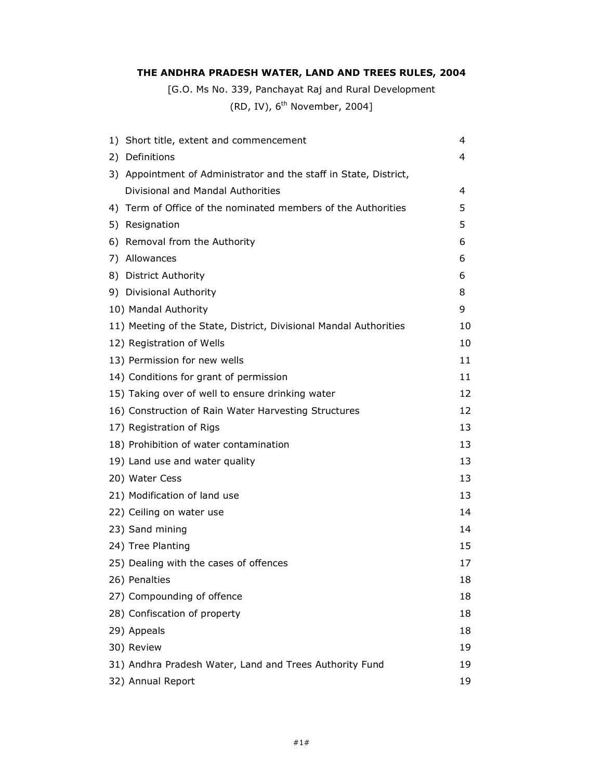# THE ANDHRA PRADESH WATER, LAND AND TREES RULES, 2004

[G.O. Ms No. 339, Panchayat Raj and Rural Development

(RD, IV),  $6^{\text{th}}$  November, 2004]

| 1) Short title, extent and commencement                           | 4  |
|-------------------------------------------------------------------|----|
| 2) Definitions                                                    | 4  |
| 3) Appointment of Administrator and the staff in State, District, |    |
| Divisional and Mandal Authorities                                 | 4  |
| 4) Term of Office of the nominated members of the Authorities     | 5  |
| 5) Resignation                                                    | 5  |
| 6) Removal from the Authority                                     | 6  |
| 7) Allowances                                                     | 6  |
| 8) District Authority                                             | 6  |
| 9) Divisional Authority                                           | 8  |
| 10) Mandal Authority                                              | 9  |
| 11) Meeting of the State, District, Divisional Mandal Authorities | 10 |
| 12) Registration of Wells                                         | 10 |
| 13) Permission for new wells                                      | 11 |
| 14) Conditions for grant of permission                            | 11 |
| 15) Taking over of well to ensure drinking water                  | 12 |
| 16) Construction of Rain Water Harvesting Structures              | 12 |
| 17) Registration of Rigs                                          | 13 |
| 18) Prohibition of water contamination                            | 13 |
| 19) Land use and water quality                                    | 13 |
| 20) Water Cess                                                    | 13 |
| 21) Modification of land use                                      | 13 |
| 22) Ceiling on water use                                          | 14 |
| 23) Sand mining                                                   | 14 |
| 24) Tree Planting                                                 | 15 |
| 25) Dealing with the cases of offences                            | 17 |
| 26) Penalties                                                     | 18 |
| 27) Compounding of offence                                        | 18 |
| 28) Confiscation of property                                      | 18 |
| 29) Appeals                                                       | 18 |
| 30) Review                                                        | 19 |
| 31) Andhra Pradesh Water, Land and Trees Authority Fund           | 19 |
| 32) Annual Report                                                 | 19 |
|                                                                   |    |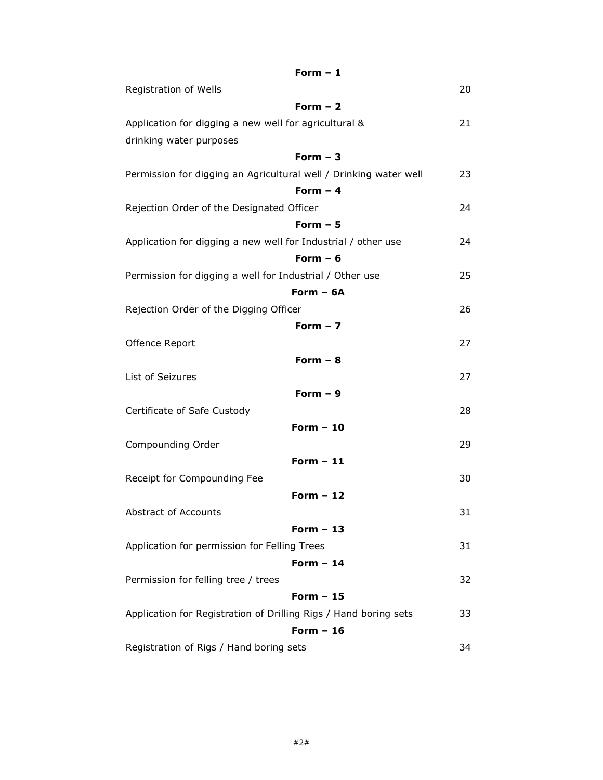| Form $-1$                                                         |    |
|-------------------------------------------------------------------|----|
| Registration of Wells                                             | 20 |
| Form $-2$                                                         |    |
| Application for digging a new well for agricultural &             | 21 |
| drinking water purposes                                           |    |
| Form $-3$                                                         |    |
| Permission for digging an Agricultural well / Drinking water well | 23 |
| Form $-4$                                                         |    |
| Rejection Order of the Designated Officer                         | 24 |
| Form $-5$                                                         |    |
| Application for digging a new well for Industrial / other use     | 24 |
| Form $-6$                                                         |    |
| Permission for digging a well for Industrial / Other use          | 25 |
| Form $-6A$                                                        |    |
| Rejection Order of the Digging Officer                            | 26 |
| Form $-7$                                                         |    |
| Offence Report                                                    | 27 |
| Form $-8$                                                         |    |
| List of Seizures                                                  | 27 |
| Form $-9$                                                         |    |
| Certificate of Safe Custody                                       | 28 |
| Form $-10$                                                        |    |
| Compounding Order                                                 | 29 |
| Form $-11$                                                        |    |
| Receipt for Compounding Fee                                       | 30 |
| Form $-12$                                                        |    |
| <b>Abstract of Accounts</b>                                       | 31 |
| Form $-13$                                                        |    |
| Application for permission for Felling Trees                      | 31 |
| Form $-14$                                                        |    |
| Permission for felling tree / trees                               | 32 |
| Form $-15$                                                        |    |
| Application for Registration of Drilling Rigs / Hand boring sets  | 33 |
| Form $-16$                                                        |    |
| Registration of Rigs / Hand boring sets                           | 34 |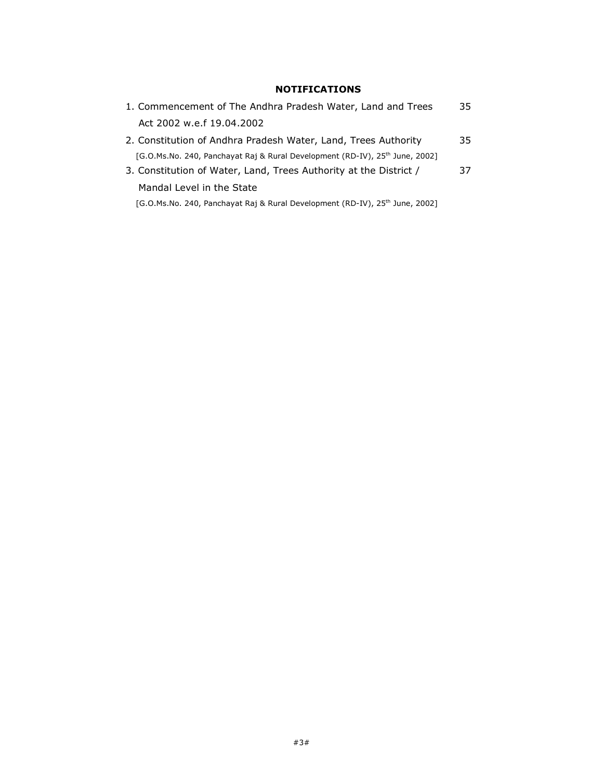# NOTIFICATIONS

| 1. Commencement of The Andhra Pradesh Water, Land and Trees                              | 35 |
|------------------------------------------------------------------------------------------|----|
| Act 2002 w.e.f 19.04.2002                                                                |    |
| 2. Constitution of Andhra Pradesh Water, Land, Trees Authority                           | 35 |
| [G.O.Ms.No. 240, Panchayat Raj & Rural Development (RD-IV), 25 <sup>th</sup> June, 2002] |    |
| 3. Constitution of Water, Land, Trees Authority at the District /                        | 37 |
| Mandal Level in the State                                                                |    |
| [G.O.Ms.No. 240, Panchayat Raj & Rural Development (RD-IV), 25 <sup>th</sup> June, 2002] |    |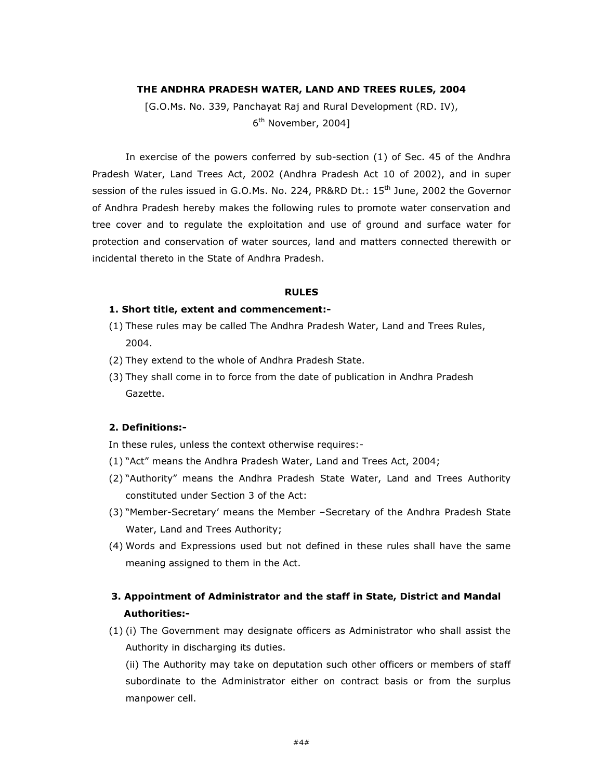#### THE ANDHRA PRADESH WATER, LAND AND TREES RULES, 2004

[G.O.Ms. No. 339, Panchayat Raj and Rural Development (RD. IV), 6<sup>th</sup> November, 2004]

 In exercise of the powers conferred by sub-section (1) of Sec. 45 of the Andhra Pradesh Water, Land Trees Act, 2002 (Andhra Pradesh Act 10 of 2002), and in super session of the rules issued in G.O.Ms. No. 224, PR&RD Dt.: 15<sup>th</sup> June, 2002 the Governor of Andhra Pradesh hereby makes the following rules to promote water conservation and tree cover and to regulate the exploitation and use of ground and surface water for protection and conservation of water sources, land and matters connected therewith or incidental thereto in the State of Andhra Pradesh.

#### RULES

#### 1. Short title, extent and commencement:-

- (1) These rules may be called The Andhra Pradesh Water, Land and Trees Rules, 2004.
- (2) They extend to the whole of Andhra Pradesh State.
- (3) They shall come in to force from the date of publication in Andhra Pradesh Gazette.

## 2. Definitions:-

In these rules, unless the context otherwise requires:-

- (1) "Act" means the Andhra Pradesh Water, Land and Trees Act, 2004;
- (2) "Authority" means the Andhra Pradesh State Water, Land and Trees Authority constituted under Section 3 of the Act:
- (3) "Member-Secretary' means the Member –Secretary of the Andhra Pradesh State Water, Land and Trees Authority;
- (4) Words and Expressions used but not defined in these rules shall have the same meaning assigned to them in the Act.

# 3. Appointment of Administrator and the staff in State, District and Mandal Authorities:-

(1) (i) The Government may designate officers as Administrator who shall assist the Authority in discharging its duties.

(ii) The Authority may take on deputation such other officers or members of staff subordinate to the Administrator either on contract basis or from the surplus manpower cell.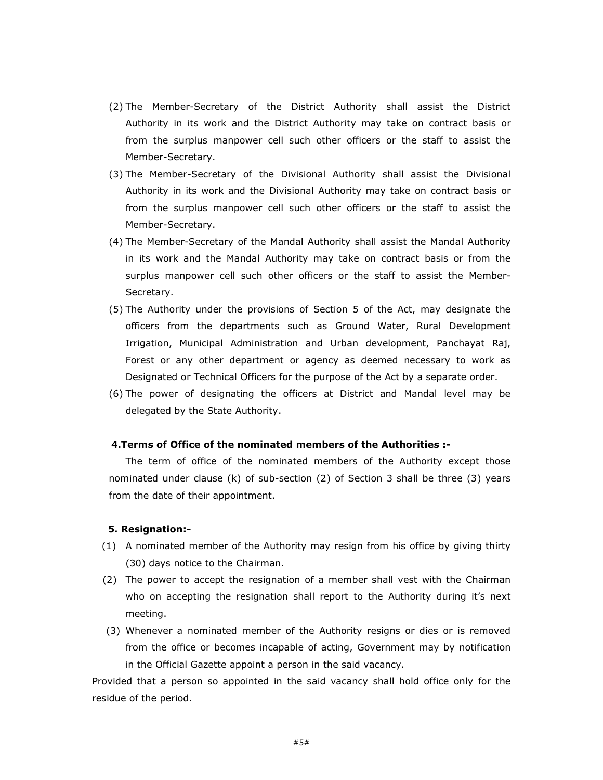- (2) The Member-Secretary of the District Authority shall assist the District Authority in its work and the District Authority may take on contract basis or from the surplus manpower cell such other officers or the staff to assist the Member-Secretary.
- (3) The Member-Secretary of the Divisional Authority shall assist the Divisional Authority in its work and the Divisional Authority may take on contract basis or from the surplus manpower cell such other officers or the staff to assist the Member-Secretary.
- (4) The Member-Secretary of the Mandal Authority shall assist the Mandal Authority in its work and the Mandal Authority may take on contract basis or from the surplus manpower cell such other officers or the staff to assist the Member-Secretary.
- (5) The Authority under the provisions of Section 5 of the Act, may designate the officers from the departments such as Ground Water, Rural Development Irrigation, Municipal Administration and Urban development, Panchayat Raj, Forest or any other department or agency as deemed necessary to work as Designated or Technical Officers for the purpose of the Act by a separate order.
- (6) The power of designating the officers at District and Mandal level may be delegated by the State Authority.

### 4.Terms of Office of the nominated members of the Authorities :-

The term of office of the nominated members of the Authority except those nominated under clause (k) of sub-section (2) of Section 3 shall be three (3) years from the date of their appointment.

#### 5. Resignation:-

- (1) A nominated member of the Authority may resign from his office by giving thirty (30) days notice to the Chairman.
- (2) The power to accept the resignation of a member shall vest with the Chairman who on accepting the resignation shall report to the Authority during it's next meeting.
- (3) Whenever a nominated member of the Authority resigns or dies or is removed from the office or becomes incapable of acting, Government may by notification in the Official Gazette appoint a person in the said vacancy.

Provided that a person so appointed in the said vacancy shall hold office only for the residue of the period.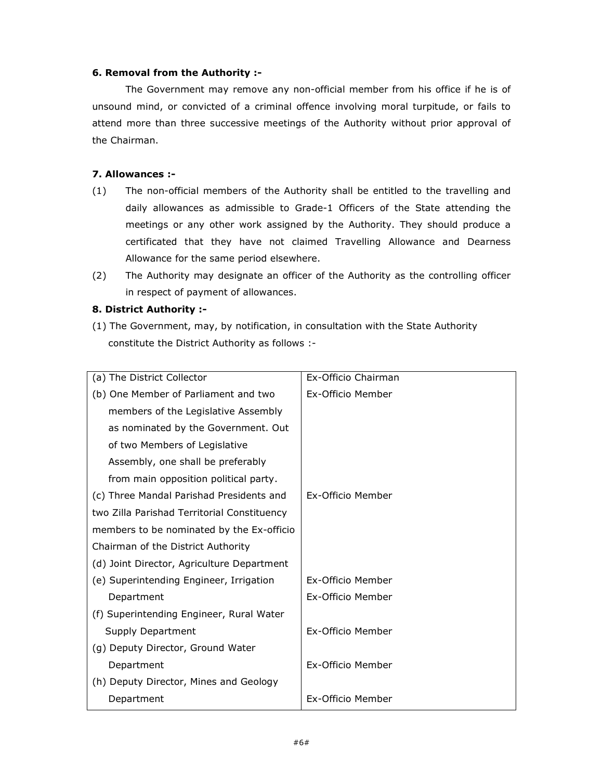### 6. Removal from the Authority :-

The Government may remove any non-official member from his office if he is of unsound mind, or convicted of a criminal offence involving moral turpitude, or fails to attend more than three successive meetings of the Authority without prior approval of the Chairman.

## 7. Allowances :-

- (1) The non-official members of the Authority shall be entitled to the travelling and daily allowances as admissible to Grade-1 Officers of the State attending the meetings or any other work assigned by the Authority. They should produce a certificated that they have not claimed Travelling Allowance and Dearness Allowance for the same period elsewhere.
- (2) The Authority may designate an officer of the Authority as the controlling officer in respect of payment of allowances.

### 8. District Authority :-

(1) The Government, may, by notification, in consultation with the State Authority constitute the District Authority as follows :-

| (a) The District Collector                  | Ex-Officio Chairman |
|---------------------------------------------|---------------------|
| (b) One Member of Parliament and two        | Ex-Officio Member   |
| members of the Legislative Assembly         |                     |
| as nominated by the Government. Out         |                     |
| of two Members of Legislative               |                     |
| Assembly, one shall be preferably           |                     |
| from main opposition political party.       |                     |
| (c) Three Mandal Parishad Presidents and    | Ex-Officio Member   |
| two Zilla Parishad Territorial Constituency |                     |
| members to be nominated by the Ex-officio   |                     |
| Chairman of the District Authority          |                     |
| (d) Joint Director, Agriculture Department  |                     |
| (e) Superintending Engineer, Irrigation     | Ex-Officio Member   |
| Department                                  | Ex-Officio Member   |
| (f) Superintending Engineer, Rural Water    |                     |
| Supply Department                           | Ex-Officio Member   |
| (g) Deputy Director, Ground Water           |                     |
| Department                                  | Ex-Officio Member   |
| (h) Deputy Director, Mines and Geology      |                     |
| Department                                  | Ex-Officio Member   |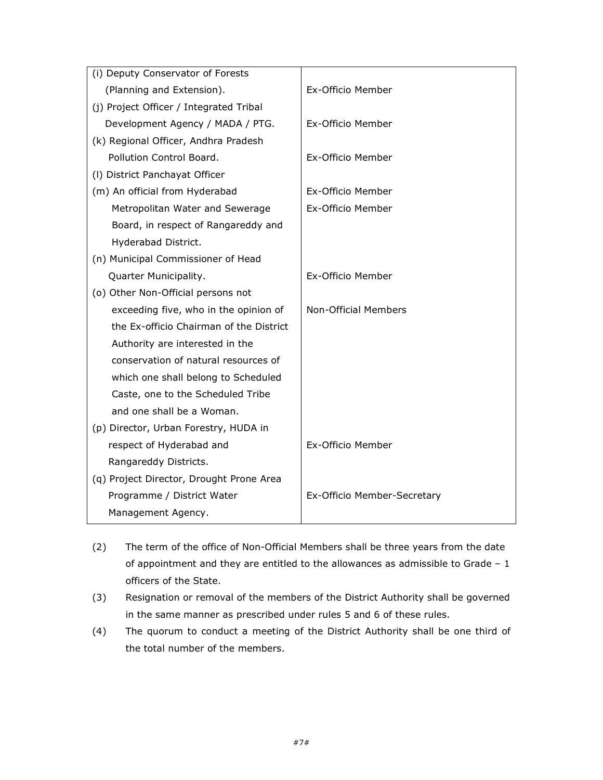| (i) Deputy Conservator of Forests        |                             |
|------------------------------------------|-----------------------------|
| (Planning and Extension).                | Ex-Officio Member           |
| (j) Project Officer / Integrated Tribal  |                             |
| Development Agency / MADA / PTG.         | Ex-Officio Member           |
| (k) Regional Officer, Andhra Pradesh     |                             |
| Pollution Control Board.                 | Ex-Officio Member           |
| (I) District Panchayat Officer           |                             |
| (m) An official from Hyderabad           | Ex-Officio Member           |
| Metropolitan Water and Sewerage          | Ex-Officio Member           |
| Board, in respect of Rangareddy and      |                             |
| Hyderabad District.                      |                             |
| (n) Municipal Commissioner of Head       |                             |
| Quarter Municipality.                    | Ex-Officio Member           |
| (o) Other Non-Official persons not       |                             |
| exceeding five, who in the opinion of    | Non-Official Members        |
| the Ex-officio Chairman of the District  |                             |
| Authority are interested in the          |                             |
| conservation of natural resources of     |                             |
| which one shall belong to Scheduled      |                             |
| Caste, one to the Scheduled Tribe        |                             |
| and one shall be a Woman.                |                             |
| (p) Director, Urban Forestry, HUDA in    |                             |
| respect of Hyderabad and                 | Ex-Officio Member           |
| Rangareddy Districts.                    |                             |
| (q) Project Director, Drought Prone Area |                             |
| Programme / District Water               | Ex-Officio Member-Secretary |
| Management Agency.                       |                             |

- (2) The term of the office of Non-Official Members shall be three years from the date of appointment and they are entitled to the allowances as admissible to Grade – 1 officers of the State.
- (3) Resignation or removal of the members of the District Authority shall be governed in the same manner as prescribed under rules 5 and 6 of these rules.
- (4) The quorum to conduct a meeting of the District Authority shall be one third of the total number of the members.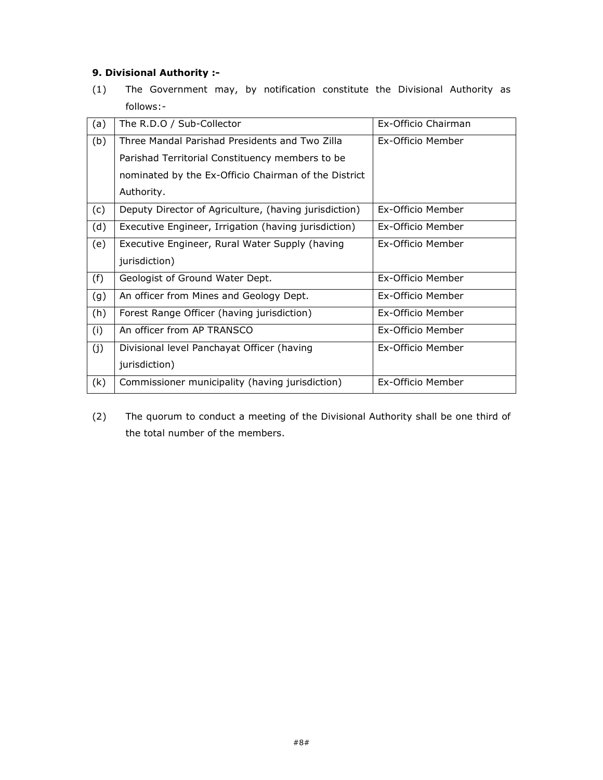# 9. Divisional Authority :-

(1) The Government may, by notification constitute the Divisional Authority as follows:-

| (a) | The R.D.O / Sub-Collector                             | Ex-Officio Chairman      |
|-----|-------------------------------------------------------|--------------------------|
| (b) | Three Mandal Parishad Presidents and Two Zilla        | Ex-Officio Member        |
|     | Parishad Territorial Constituency members to be       |                          |
|     | nominated by the Ex-Officio Chairman of the District  |                          |
|     | Authority.                                            |                          |
| (c) | Deputy Director of Agriculture, (having jurisdiction) | Ex-Officio Member        |
| (d) | Executive Engineer, Irrigation (having jurisdiction)  | <b>Fx-Officio Member</b> |
| (e) | Executive Engineer, Rural Water Supply (having        | Ex-Officio Member        |
|     | jurisdiction)                                         |                          |
| (f) | Geologist of Ground Water Dept.                       | Ex-Officio Member        |
| (g) | An officer from Mines and Geology Dept.               | Ex-Officio Member        |
| (h) | Forest Range Officer (having jurisdiction)            | Ex-Officio Member        |
| (i) | An officer from AP TRANSCO                            | <b>Fx-Officio Member</b> |
| (j) | Divisional level Panchayat Officer (having            | Ex-Officio Member        |
|     | jurisdiction)                                         |                          |
| (k) | Commissioner municipality (having jurisdiction)       | Ex-Officio Member        |

(2) The quorum to conduct a meeting of the Divisional Authority shall be one third of the total number of the members.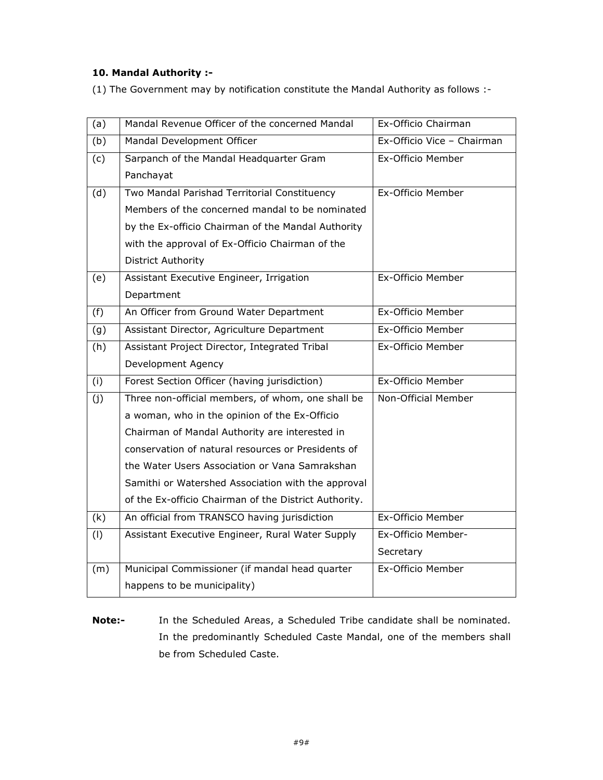# 10. Mandal Authority :-

(1) The Government may by notification constitute the Mandal Authority as follows :-

| (a) | Mandal Revenue Officer of the concerned Mandal        | Ex-Officio Chairman        |
|-----|-------------------------------------------------------|----------------------------|
| (b) | Mandal Development Officer                            | Ex-Officio Vice - Chairman |
| (c) | Sarpanch of the Mandal Headquarter Gram               | Ex-Officio Member          |
|     | Panchayat                                             |                            |
| (d) | Two Mandal Parishad Territorial Constituency          | Ex-Officio Member          |
|     | Members of the concerned mandal to be nominated       |                            |
|     | by the Ex-officio Chairman of the Mandal Authority    |                            |
|     | with the approval of Ex-Officio Chairman of the       |                            |
|     | <b>District Authority</b>                             |                            |
| (e) | Assistant Executive Engineer, Irrigation              | Ex-Officio Member          |
|     | Department                                            |                            |
| (f) | An Officer from Ground Water Department               | Ex-Officio Member          |
| (g) | Assistant Director, Agriculture Department            | Ex-Officio Member          |
| (h) | Assistant Project Director, Integrated Tribal         | Ex-Officio Member          |
|     | Development Agency                                    |                            |
| (i) | Forest Section Officer (having jurisdiction)          | Ex-Officio Member          |
| (i) | Three non-official members, of whom, one shall be     | Non-Official Member        |
|     | a woman, who in the opinion of the Ex-Officio         |                            |
|     | Chairman of Mandal Authority are interested in        |                            |
|     | conservation of natural resources or Presidents of    |                            |
|     | the Water Users Association or Vana Samrakshan        |                            |
|     | Samithi or Watershed Association with the approval    |                            |
|     | of the Ex-officio Chairman of the District Authority. |                            |
| (k) | An official from TRANSCO having jurisdiction          | Ex-Officio Member          |
| (1) | Assistant Executive Engineer, Rural Water Supply      | Ex-Officio Member-         |
|     |                                                       | Secretary                  |
| (m) | Municipal Commissioner (if mandal head quarter        | Ex-Officio Member          |
|     | happens to be municipality)                           |                            |

Note:- In the Scheduled Areas, a Scheduled Tribe candidate shall be nominated. In the predominantly Scheduled Caste Mandal, one of the members shall be from Scheduled Caste.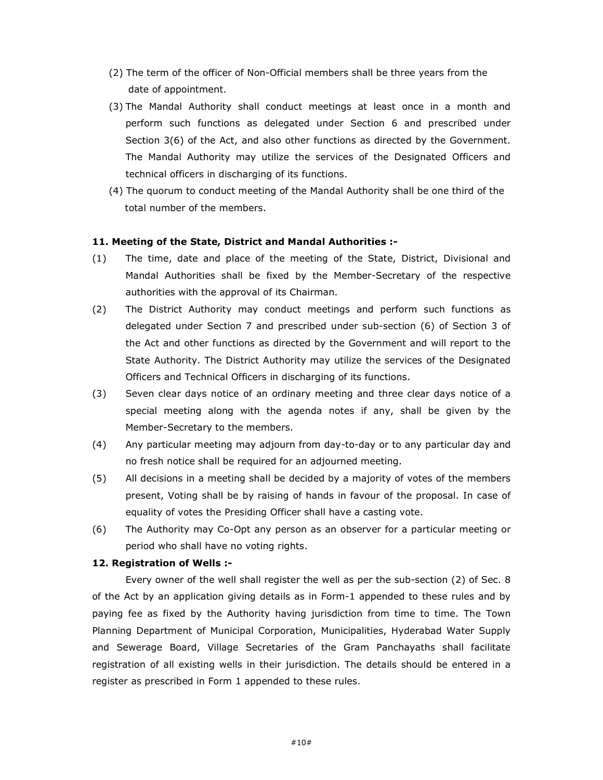- (2) The term of the officer of Non-Official members shall be three years from the date of appointment.
- (3) The Mandal Authority shall conduct meetings at least once in a month and perform such functions as delegated under Section 6 and prescribed under Section 3(6) of the Act, and also other functions as directed by the Government. The Mandal Authority may utilize the services of the Designated Officers and technical officers in discharging of its functions.
- (4) The quorum to conduct meeting of the Mandal Authority shall be one third of the total number of the members.

### 11. Meeting of the State, District and Mandal Authorities :-

- (1) The time, date and place of the meeting of the State, District, Divisional and Mandal Authorities shall be fixed by the Member-Secretary of the respective authorities with the approval of its Chairman.
- (2) The District Authority may conduct meetings and perform such functions as delegated under Section 7 and prescribed under sub-section (6) of Section 3 of the Act and other functions as directed by the Government and will report to the State Authority. The District Authority may utilize the services of the Designated Officers and Technical Officers in discharging of its functions.
- (3) Seven clear days notice of an ordinary meeting and three clear days notice of a special meeting along with the agenda notes if any, shall be given by the Member-Secretary to the members.
- (4) Any particular meeting may adjourn from day-to-day or to any particular day and no fresh notice shall be required for an adjourned meeting.
- (5) All decisions in a meeting shall be decided by a majority of votes of the members present, Voting shall be by raising of hands in favour of the proposal. In case of equality of votes the Presiding Officer shall have a casting vote.
- (6) The Authority may Co-Opt any person as an observer for a particular meeting or period who shall have no voting rights.

#### 12. Registration of Wells :-

 Every owner of the well shall register the well as per the sub-section (2) of Sec. 8 of the Act by an application giving details as in Form-1 appended to these rules and by paying fee as fixed by the Authority having jurisdiction from time to time. The Town Planning Department of Municipal Corporation, Municipalities, Hyderabad Water Supply and Sewerage Board, Village Secretaries of the Gram Panchayaths shall facilitate registration of all existing wells in their jurisdiction. The details should be entered in a register as prescribed in Form 1 appended to these rules.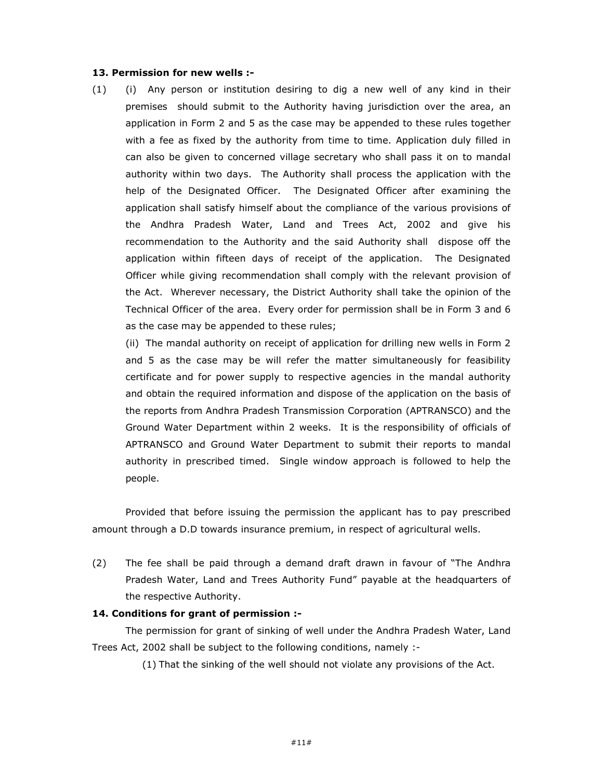#### 13. Permission for new wells :-

(1) (i) Any person or institution desiring to dig a new well of any kind in their premises should submit to the Authority having jurisdiction over the area, an application in Form 2 and 5 as the case may be appended to these rules together with a fee as fixed by the authority from time to time. Application duly filled in can also be given to concerned village secretary who shall pass it on to mandal authority within two days. The Authority shall process the application with the help of the Designated Officer. The Designated Officer after examining the application shall satisfy himself about the compliance of the various provisions of the Andhra Pradesh Water, Land and Trees Act, 2002 and give his recommendation to the Authority and the said Authority shall dispose off the application within fifteen days of receipt of the application. The Designated Officer while giving recommendation shall comply with the relevant provision of the Act. Wherever necessary, the District Authority shall take the opinion of the Technical Officer of the area. Every order for permission shall be in Form 3 and 6 as the case may be appended to these rules;

 (ii) The mandal authority on receipt of application for drilling new wells in Form 2 and 5 as the case may be will refer the matter simultaneously for feasibility certificate and for power supply to respective agencies in the mandal authority and obtain the required information and dispose of the application on the basis of the reports from Andhra Pradesh Transmission Corporation (APTRANSCO) and the Ground Water Department within 2 weeks. It is the responsibility of officials of APTRANSCO and Ground Water Department to submit their reports to mandal authority in prescribed timed. Single window approach is followed to help the people.

Provided that before issuing the permission the applicant has to pay prescribed amount through a D.D towards insurance premium, in respect of agricultural wells.

(2) The fee shall be paid through a demand draft drawn in favour of "The Andhra Pradesh Water, Land and Trees Authority Fund" payable at the headquarters of the respective Authority.

#### 14. Conditions for grant of permission :-

 The permission for grant of sinking of well under the Andhra Pradesh Water, Land Trees Act, 2002 shall be subject to the following conditions, namely :-

(1) That the sinking of the well should not violate any provisions of the Act.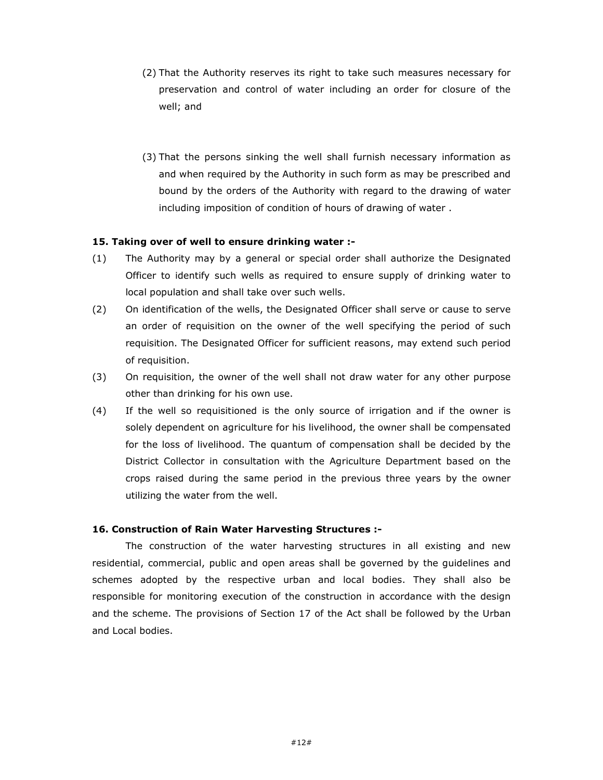- (2) That the Authority reserves its right to take such measures necessary for preservation and control of water including an order for closure of the well; and
- (3) That the persons sinking the well shall furnish necessary information as and when required by the Authority in such form as may be prescribed and bound by the orders of the Authority with regard to the drawing of water including imposition of condition of hours of drawing of water .

#### 15. Taking over of well to ensure drinking water :-

- (1) The Authority may by a general or special order shall authorize the Designated Officer to identify such wells as required to ensure supply of drinking water to local population and shall take over such wells.
- (2) On identification of the wells, the Designated Officer shall serve or cause to serve an order of requisition on the owner of the well specifying the period of such requisition. The Designated Officer for sufficient reasons, may extend such period of requisition.
- (3) On requisition, the owner of the well shall not draw water for any other purpose other than drinking for his own use.
- (4) If the well so requisitioned is the only source of irrigation and if the owner is solely dependent on agriculture for his livelihood, the owner shall be compensated for the loss of livelihood. The quantum of compensation shall be decided by the District Collector in consultation with the Agriculture Department based on the crops raised during the same period in the previous three years by the owner utilizing the water from the well.

## 16. Construction of Rain Water Harvesting Structures :-

The construction of the water harvesting structures in all existing and new residential, commercial, public and open areas shall be governed by the guidelines and schemes adopted by the respective urban and local bodies. They shall also be responsible for monitoring execution of the construction in accordance with the design and the scheme. The provisions of Section 17 of the Act shall be followed by the Urban and Local bodies.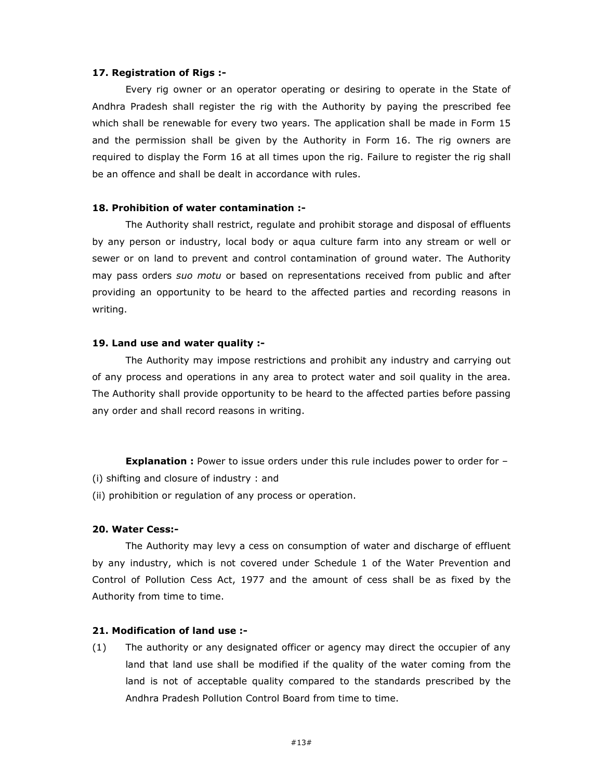#### 17. Registration of Rigs :-

Every rig owner or an operator operating or desiring to operate in the State of Andhra Pradesh shall register the rig with the Authority by paying the prescribed fee which shall be renewable for every two years. The application shall be made in Form 15 and the permission shall be given by the Authority in Form 16. The rig owners are required to display the Form 16 at all times upon the rig. Failure to register the rig shall be an offence and shall be dealt in accordance with rules.

#### 18. Prohibition of water contamination :-

The Authority shall restrict, regulate and prohibit storage and disposal of effluents by any person or industry, local body or aqua culture farm into any stream or well or sewer or on land to prevent and control contamination of ground water. The Authority may pass orders suo motu or based on representations received from public and after providing an opportunity to be heard to the affected parties and recording reasons in writing.

#### 19. Land use and water quality :-

 The Authority may impose restrictions and prohibit any industry and carrying out of any process and operations in any area to protect water and soil quality in the area. The Authority shall provide opportunity to be heard to the affected parties before passing any order and shall record reasons in writing.

**Explanation :** Power to issue orders under this rule includes power to order for -(i) shifting and closure of industry : and

(ii) prohibition or regulation of any process or operation.

#### 20. Water Cess:-

 The Authority may levy a cess on consumption of water and discharge of effluent by any industry, which is not covered under Schedule 1 of the Water Prevention and Control of Pollution Cess Act, 1977 and the amount of cess shall be as fixed by the Authority from time to time.

## 21. Modification of land use :-

(1) The authority or any designated officer or agency may direct the occupier of any land that land use shall be modified if the quality of the water coming from the land is not of acceptable quality compared to the standards prescribed by the Andhra Pradesh Pollution Control Board from time to time.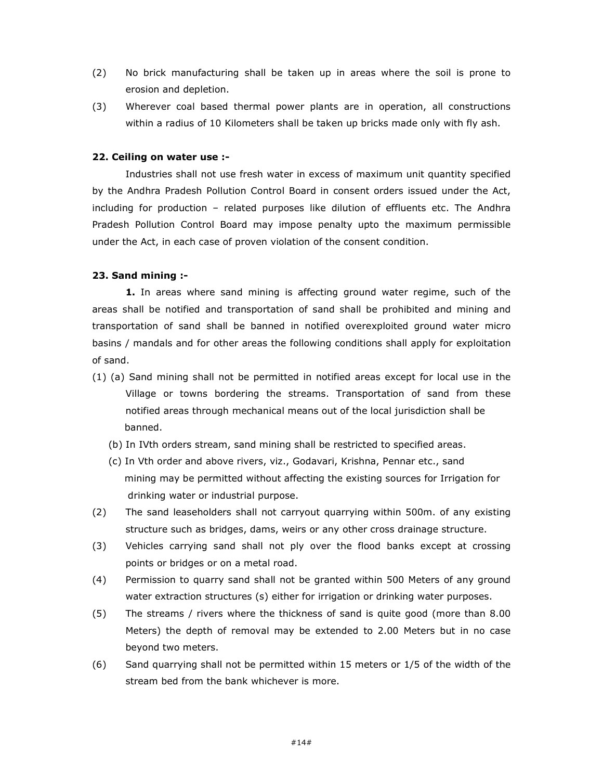- (2) No brick manufacturing shall be taken up in areas where the soil is prone to erosion and depletion.
- (3) Wherever coal based thermal power plants are in operation, all constructions within a radius of 10 Kilometers shall be taken up bricks made only with fly ash.

#### 22. Ceiling on water use :-

Industries shall not use fresh water in excess of maximum unit quantity specified by the Andhra Pradesh Pollution Control Board in consent orders issued under the Act, including for production – related purposes like dilution of effluents etc. The Andhra Pradesh Pollution Control Board may impose penalty upto the maximum permissible under the Act, in each case of proven violation of the consent condition.

#### 23. Sand mining :-

1. In areas where sand mining is affecting ground water regime, such of the areas shall be notified and transportation of sand shall be prohibited and mining and transportation of sand shall be banned in notified overexploited ground water micro basins / mandals and for other areas the following conditions shall apply for exploitation of sand.

- (1) (a) Sand mining shall not be permitted in notified areas except for local use in the Village or towns bordering the streams. Transportation of sand from these notified areas through mechanical means out of the local jurisdiction shall be banned.
	- (b) In IVth orders stream, sand mining shall be restricted to specified areas.
	- (c) In Vth order and above rivers, viz., Godavari, Krishna, Pennar etc., sand mining may be permitted without affecting the existing sources for Irrigation for drinking water or industrial purpose.
- (2) The sand leaseholders shall not carryout quarrying within 500m. of any existing structure such as bridges, dams, weirs or any other cross drainage structure.
- (3) Vehicles carrying sand shall not ply over the flood banks except at crossing points or bridges or on a metal road.
- (4) Permission to quarry sand shall not be granted within 500 Meters of any ground water extraction structures (s) either for irrigation or drinking water purposes.
- (5) The streams / rivers where the thickness of sand is quite good (more than 8.00 Meters) the depth of removal may be extended to 2.00 Meters but in no case beyond two meters.
- (6) Sand quarrying shall not be permitted within 15 meters or 1/5 of the width of the stream bed from the bank whichever is more.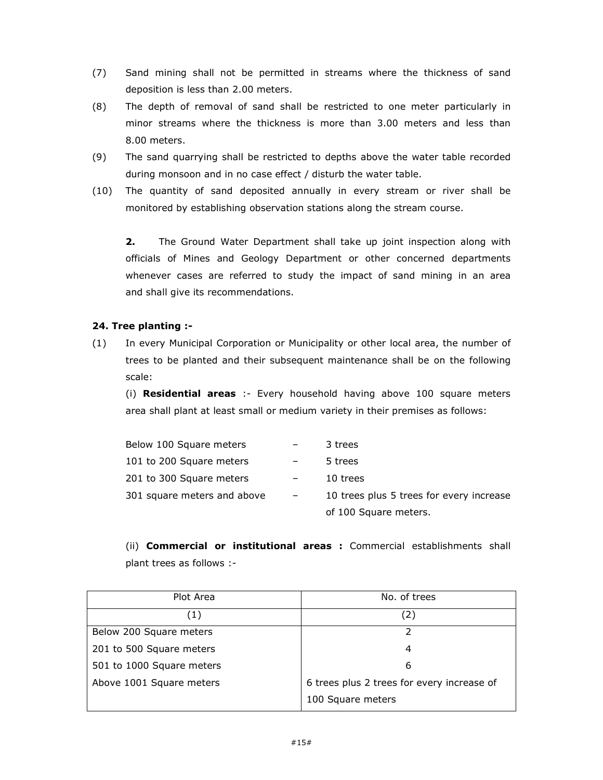- (7) Sand mining shall not be permitted in streams where the thickness of sand deposition is less than 2.00 meters.
- (8) The depth of removal of sand shall be restricted to one meter particularly in minor streams where the thickness is more than 3.00 meters and less than 8.00 meters.
- (9) The sand quarrying shall be restricted to depths above the water table recorded during monsoon and in no case effect / disturb the water table.
- (10) The quantity of sand deposited annually in every stream or river shall be monitored by establishing observation stations along the stream course.

**2.** The Ground Water Department shall take up joint inspection along with officials of Mines and Geology Department or other concerned departments whenever cases are referred to study the impact of sand mining in an area and shall give its recommendations.

## 24. Tree planting :-

(1) In every Municipal Corporation or Municipality or other local area, the number of trees to be planted and their subsequent maintenance shall be on the following scale:

(i) Residential areas :- Every household having above 100 square meters area shall plant at least small or medium variety in their premises as follows:

| Below 100 Square meters     | 3 trees                                  |
|-----------------------------|------------------------------------------|
| 101 to 200 Square meters    | 5 trees                                  |
| 201 to 300 Square meters    | 10 trees                                 |
| 301 square meters and above | 10 trees plus 5 trees for every increase |
|                             | of 100 Square meters.                    |

(ii) Commercial or institutional areas : Commercial establishments shall plant trees as follows :-

| Plot Area                 | No. of trees                               |
|---------------------------|--------------------------------------------|
| (1)                       | (2)                                        |
| Below 200 Square meters   |                                            |
| 201 to 500 Square meters  | 4                                          |
| 501 to 1000 Square meters | 6                                          |
| Above 1001 Square meters  | 6 trees plus 2 trees for every increase of |
|                           | 100 Square meters                          |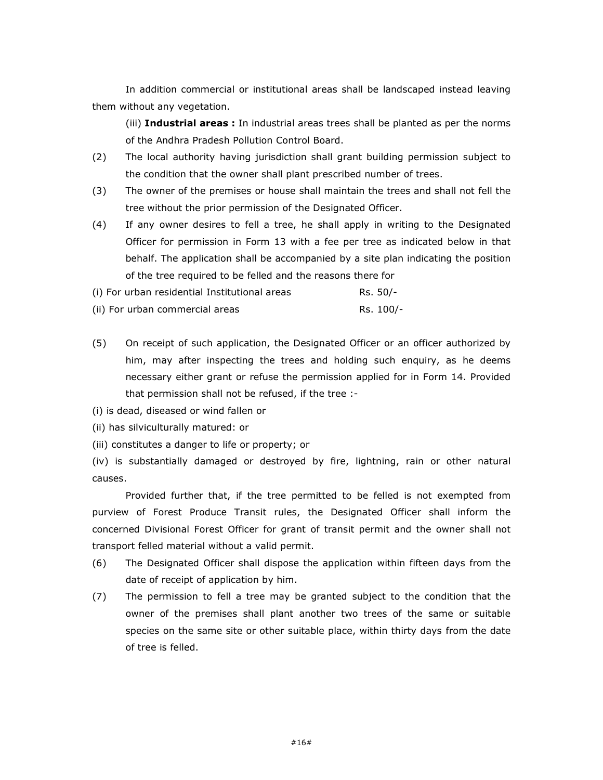In addition commercial or institutional areas shall be landscaped instead leaving them without any vegetation.

(iii) Industrial areas : In industrial areas trees shall be planted as per the norms of the Andhra Pradesh Pollution Control Board.

- (2) The local authority having jurisdiction shall grant building permission subject to the condition that the owner shall plant prescribed number of trees.
- (3) The owner of the premises or house shall maintain the trees and shall not fell the tree without the prior permission of the Designated Officer.
- (4) If any owner desires to fell a tree, he shall apply in writing to the Designated Officer for permission in Form 13 with a fee per tree as indicated below in that behalf. The application shall be accompanied by a site plan indicating the position of the tree required to be felled and the reasons there for
- (i) For urban residential Institutional areas  $RS. 50/$ -
- (ii) For urban commercial areas  $RS. 100/-$
- (5) On receipt of such application, the Designated Officer or an officer authorized by him, may after inspecting the trees and holding such enquiry, as he deems necessary either grant or refuse the permission applied for in Form 14. Provided that permission shall not be refused, if the tree :-
- (i) is dead, diseased or wind fallen or
- (ii) has silviculturally matured: or
- (iii) constitutes a danger to life or property; or

(iv) is substantially damaged or destroyed by fire, lightning, rain or other natural causes.

 Provided further that, if the tree permitted to be felled is not exempted from purview of Forest Produce Transit rules, the Designated Officer shall inform the concerned Divisional Forest Officer for grant of transit permit and the owner shall not transport felled material without a valid permit.

- (6) The Designated Officer shall dispose the application within fifteen days from the date of receipt of application by him.
- (7) The permission to fell a tree may be granted subject to the condition that the owner of the premises shall plant another two trees of the same or suitable species on the same site or other suitable place, within thirty days from the date of tree is felled.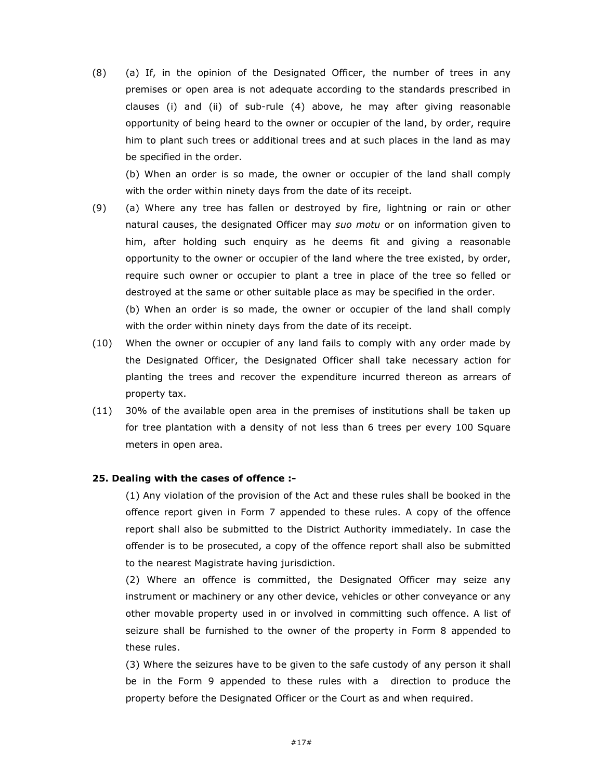(8) (a) If, in the opinion of the Designated Officer, the number of trees in any premises or open area is not adequate according to the standards prescribed in clauses (i) and (ii) of sub-rule (4) above, he may after giving reasonable opportunity of being heard to the owner or occupier of the land, by order, require him to plant such trees or additional trees and at such places in the land as may be specified in the order.

(b) When an order is so made, the owner or occupier of the land shall comply with the order within ninety days from the date of its receipt.

(9) (a) Where any tree has fallen or destroyed by fire, lightning or rain or other natural causes, the designated Officer may suo motu or on information given to him, after holding such enquiry as he deems fit and giving a reasonable opportunity to the owner or occupier of the land where the tree existed, by order, require such owner or occupier to plant a tree in place of the tree so felled or destroyed at the same or other suitable place as may be specified in the order.

(b) When an order is so made, the owner or occupier of the land shall comply with the order within ninety days from the date of its receipt.

- (10) When the owner or occupier of any land fails to comply with any order made by the Designated Officer, the Designated Officer shall take necessary action for planting the trees and recover the expenditure incurred thereon as arrears of property tax.
- (11) 30% of the available open area in the premises of institutions shall be taken up for tree plantation with a density of not less than 6 trees per every 100 Square meters in open area.

#### 25. Dealing with the cases of offence :-

(1) Any violation of the provision of the Act and these rules shall be booked in the offence report given in Form 7 appended to these rules. A copy of the offence report shall also be submitted to the District Authority immediately. In case the offender is to be prosecuted, a copy of the offence report shall also be submitted to the nearest Magistrate having jurisdiction.

(2) Where an offence is committed, the Designated Officer may seize any instrument or machinery or any other device, vehicles or other conveyance or any other movable property used in or involved in committing such offence. A list of seizure shall be furnished to the owner of the property in Form 8 appended to these rules.

(3) Where the seizures have to be given to the safe custody of any person it shall be in the Form 9 appended to these rules with a direction to produce the property before the Designated Officer or the Court as and when required.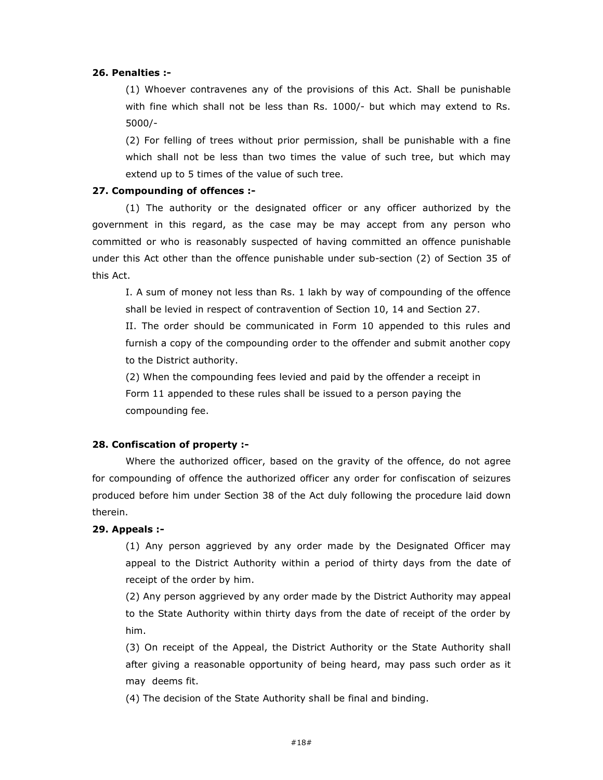#### 26. Penalties :-

(1) Whoever contravenes any of the provisions of this Act. Shall be punishable with fine which shall not be less than Rs. 1000/- but which may extend to Rs. 5000/-

(2) For felling of trees without prior permission, shall be punishable with a fine which shall not be less than two times the value of such tree, but which may extend up to 5 times of the value of such tree.

#### 27. Compounding of offences :-

(1) The authority or the designated officer or any officer authorized by the government in this regard, as the case may be may accept from any person who committed or who is reasonably suspected of having committed an offence punishable under this Act other than the offence punishable under sub-section (2) of Section 35 of this Act.

I. A sum of money not less than Rs. 1 lakh by way of compounding of the offence shall be levied in respect of contravention of Section 10, 14 and Section 27.

II. The order should be communicated in Form 10 appended to this rules and furnish a copy of the compounding order to the offender and submit another copy to the District authority.

(2) When the compounding fees levied and paid by the offender a receipt in Form 11 appended to these rules shall be issued to a person paying the compounding fee.

#### 28. Confiscation of property :-

Where the authorized officer, based on the gravity of the offence, do not agree for compounding of offence the authorized officer any order for confiscation of seizures produced before him under Section 38 of the Act duly following the procedure laid down therein.

#### 29. Appeals :-

(1) Any person aggrieved by any order made by the Designated Officer may appeal to the District Authority within a period of thirty days from the date of receipt of the order by him.

(2) Any person aggrieved by any order made by the District Authority may appeal to the State Authority within thirty days from the date of receipt of the order by him.

(3) On receipt of the Appeal, the District Authority or the State Authority shall after giving a reasonable opportunity of being heard, may pass such order as it may deems fit.

(4) The decision of the State Authority shall be final and binding.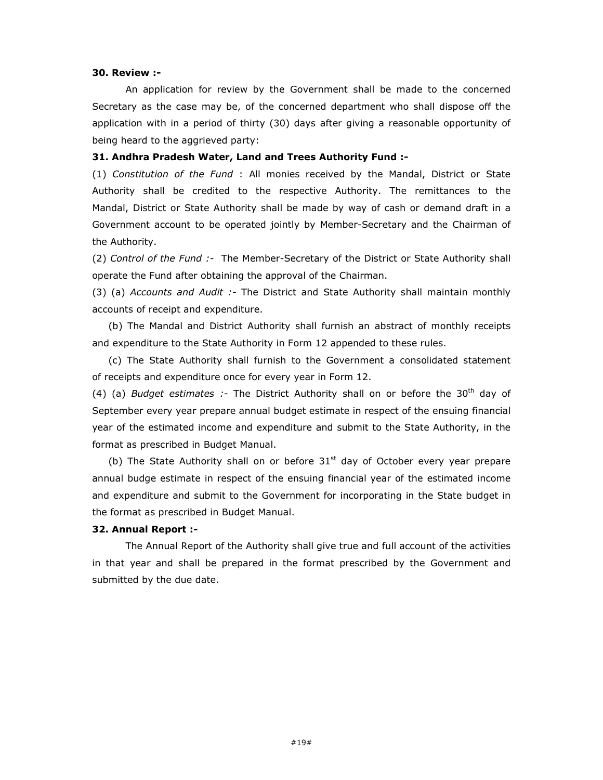#### 30. Review :-

An application for review by the Government shall be made to the concerned Secretary as the case may be, of the concerned department who shall dispose off the application with in a period of thirty (30) days after giving a reasonable opportunity of being heard to the aggrieved party:

#### 31. Andhra Pradesh Water, Land and Trees Authority Fund :-

(1) Constitution of the Fund : All monies received by the Mandal, District or State Authority shall be credited to the respective Authority. The remittances to the Mandal, District or State Authority shall be made by way of cash or demand draft in a Government account to be operated jointly by Member-Secretary and the Chairman of the Authority.

(2) Control of the Fund :- The Member-Secretary of the District or State Authority shall operate the Fund after obtaining the approval of the Chairman.

(3) (a) Accounts and Audit :- The District and State Authority shall maintain monthly accounts of receipt and expenditure.

 (b) The Mandal and District Authority shall furnish an abstract of monthly receipts and expenditure to the State Authority in Form 12 appended to these rules.

 (c) The State Authority shall furnish to the Government a consolidated statement of receipts and expenditure once for every year in Form 12.

(4) (a) Budget estimates :- The District Authority shall on or before the 30<sup>th</sup> day of September every year prepare annual budget estimate in respect of the ensuing financial year of the estimated income and expenditure and submit to the State Authority, in the format as prescribed in Budget Manual.

(b) The State Authority shall on or before  $31<sup>st</sup>$  day of October every year prepare annual budge estimate in respect of the ensuing financial year of the estimated income and expenditure and submit to the Government for incorporating in the State budget in the format as prescribed in Budget Manual.

#### 32. Annual Report :-

 The Annual Report of the Authority shall give true and full account of the activities in that year and shall be prepared in the format prescribed by the Government and submitted by the due date.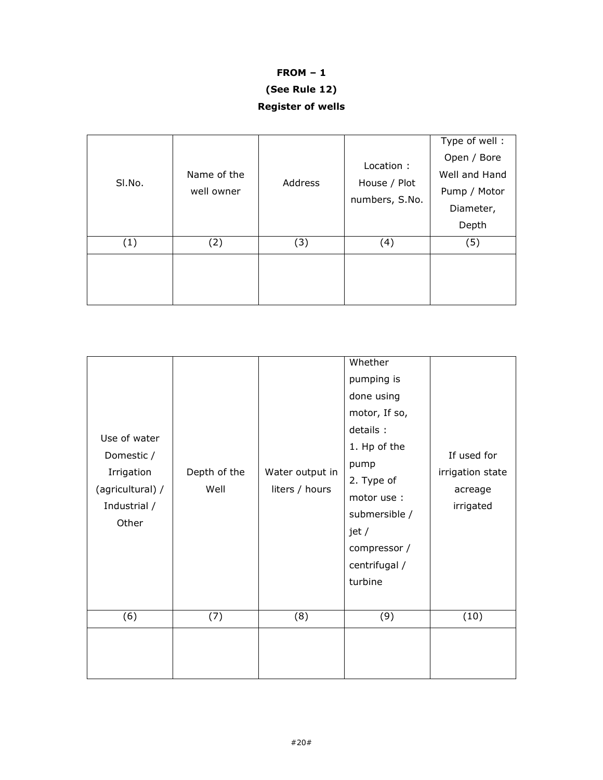# FROM – 1

# (See Rule 12)

Register of wells

| SI.No. | Name of the<br>well owner | Address | Location :<br>House / Plot<br>numbers, S.No. | Type of well:<br>Open / Bore<br>Well and Hand<br>Pump / Motor<br>Diameter,<br>Depth |
|--------|---------------------------|---------|----------------------------------------------|-------------------------------------------------------------------------------------|
| (1)    | (2)                       | (3)     | (4)                                          | (5)                                                                                 |
|        |                           |         |                                              |                                                                                     |

| Use of water<br>Domestic /<br>Irrigation<br>(agricultural) /<br>Industrial /<br>Other | Depth of the<br>Well | Water output in<br>liters / hours | Whether<br>pumping is<br>done using<br>motor, If so,<br>details:<br>1. Hp of the<br>pump<br>2. Type of<br>motor use :<br>submersible /<br>jet /<br>compressor /<br>centrifugal /<br>turbine | If used for<br>irrigation state<br>acreage<br>irrigated |
|---------------------------------------------------------------------------------------|----------------------|-----------------------------------|---------------------------------------------------------------------------------------------------------------------------------------------------------------------------------------------|---------------------------------------------------------|
| (6)                                                                                   | (7)                  | (8)                               | (9)                                                                                                                                                                                         | (10)                                                    |
|                                                                                       |                      |                                   |                                                                                                                                                                                             |                                                         |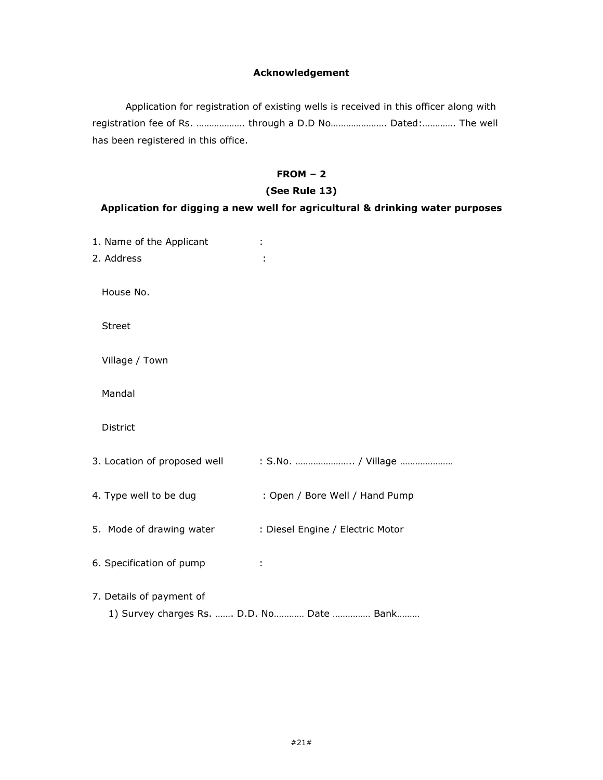## Acknowledgement

Application for registration of existing wells is received in this officer along with registration fee of Rs. ………………. through a D.D No…………………. Dated:…………. The well has been registered in this office.

# FROM – 2

#### (See Rule 13)

### Application for digging a new well for agricultural & drinking water purposes

| 1. Name of the Applicant<br>2. Address |                                           |
|----------------------------------------|-------------------------------------------|
| House No.                              |                                           |
| <b>Street</b>                          |                                           |
| Village / Town                         |                                           |
| Mandal                                 |                                           |
| District                               |                                           |
| 3. Location of proposed well           | : S.No.  / Village                        |
| 4. Type well to be dug                 | : Open / Bore Well / Hand Pump            |
| 5. Mode of drawing water               | : Diesel Engine / Electric Motor          |
| 6. Specification of pump               |                                           |
| 7. Details of payment of               | 1) Survey charges Rs.  D.D. No Date  Bank |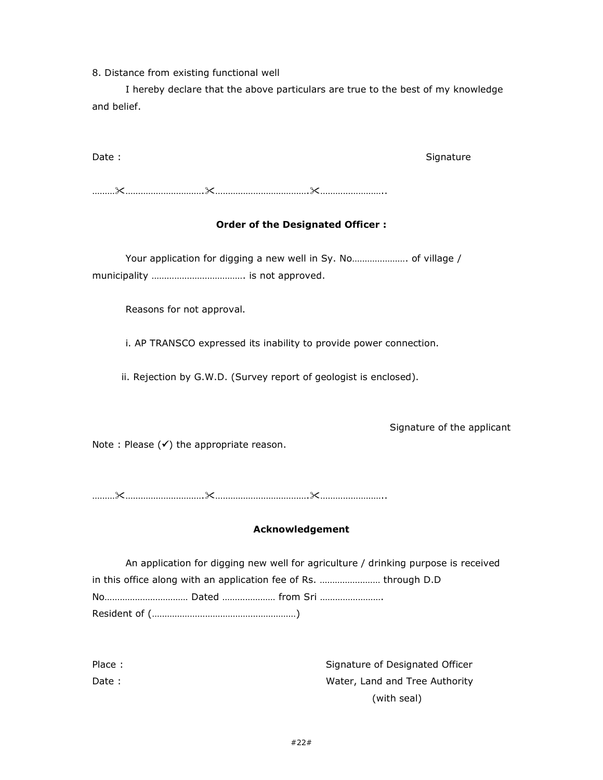8. Distance from existing functional well

 I hereby declare that the above particulars are true to the best of my knowledge and belief.

Date : Signature : Signature : Signature : Signature : Signature : Signature : Signature : Signature : Signature : Signature : Signature : Signature : Signature : Signature : Signature : Signature : Signature : Signature :

………………………………….……………………………….……………………..

# Order of the Designated Officer :

 Your application for digging a new well in Sy. No…………………. of village / municipality ………………………………. is not approved.

Reasons for not approval.

i. AP TRANSCO expressed its inability to provide power connection.

ii. Rejection by G.W.D. (Survey report of geologist is enclosed).

Signature of the applicant

Note : Please  $(\checkmark)$  the appropriate reason.

………………………………….……………………………….……………………..

## Acknowledgement

| An application for digging new well for agriculture / drinking purpose is received |
|------------------------------------------------------------------------------------|
| in this office along with an application fee of Rs.  through D.D                   |
|                                                                                    |
|                                                                                    |

| Place: | Signature of Designated Officer |
|--------|---------------------------------|
| Date : | Water, Land and Tree Authority  |
|        | (with seal)                     |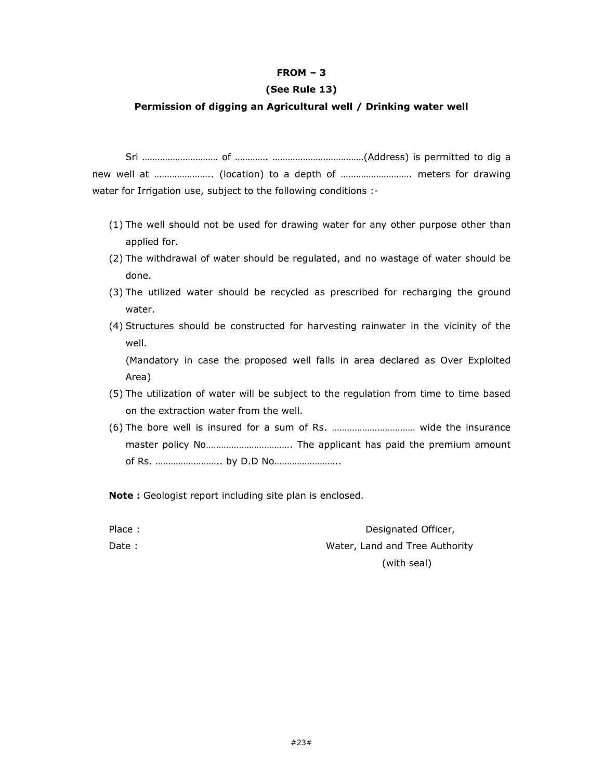## FROM – 3

#### (See Rule 13)

#### Permission of digging an Agricultural well / Drinking water well

 Sri ………………………… of …………. ………………………………(Address) is permitted to dig a new well at ………………….. (location) to a depth of ………………………. meters for drawing water for Irrigation use, subject to the following conditions :-

- (1) The well should not be used for drawing water for any other purpose other than applied for.
- (2) The withdrawal of water should be regulated, and no wastage of water should be done.
- (3) The utilized water should be recycled as prescribed for recharging the ground water.
- (4) Structures should be constructed for harvesting rainwater in the vicinity of the well.

(Mandatory in case the proposed well falls in area declared as Over Exploited Area)

- (5) The utilization of water will be subject to the regulation from time to time based on the extraction water from the well.
- (6) The bore well is insured for a sum of Rs. …………………………… wide the insurance master policy No……………………………. The applicant has paid the premium amount of Rs. …………………….. by D.D No……………………..

Note : Geologist report including site plan is enclosed.

| Place: | Designated Officer,            |
|--------|--------------------------------|
| Date : | Water, Land and Tree Authority |
|        | (with seal)                    |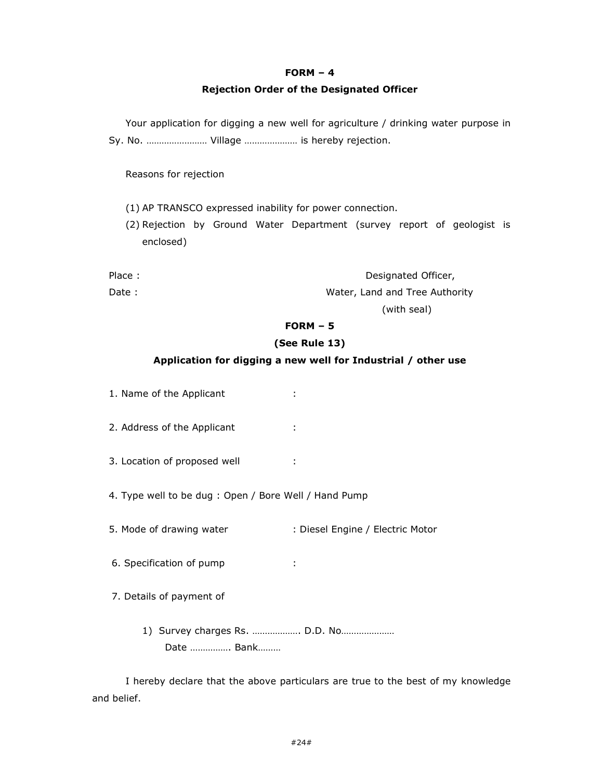#### $FORM - 4$

#### Rejection Order of the Designated Officer

Your application for digging a new well for agriculture / drinking water purpose in Sy. No. …………………… Village ………………… is hereby rejection.

Reasons for rejection

(1) AP TRANSCO expressed inability for power connection.

(2) Rejection by Ground Water Department (survey report of geologist is enclosed)

| Place : | Designated Officer,            |
|---------|--------------------------------|
| Date :  | Water, Land and Tree Authority |

(with seal)

# FORM – 5

### (See Rule 13)

## Application for digging a new well for Industrial / other use

1. Name of the Applicant : 2. Address of the Applicant : 3. Location of proposed well : 4. Type well to be dug : Open / Bore Well / Hand Pump 5. Mode of drawing water : Diesel Engine / Electric Motor 6. Specification of pump : 7. Details of payment of 1) Survey charges Rs. ………………. D.D. No………………… Date ……………. Bank………

 I hereby declare that the above particulars are true to the best of my knowledge and belief.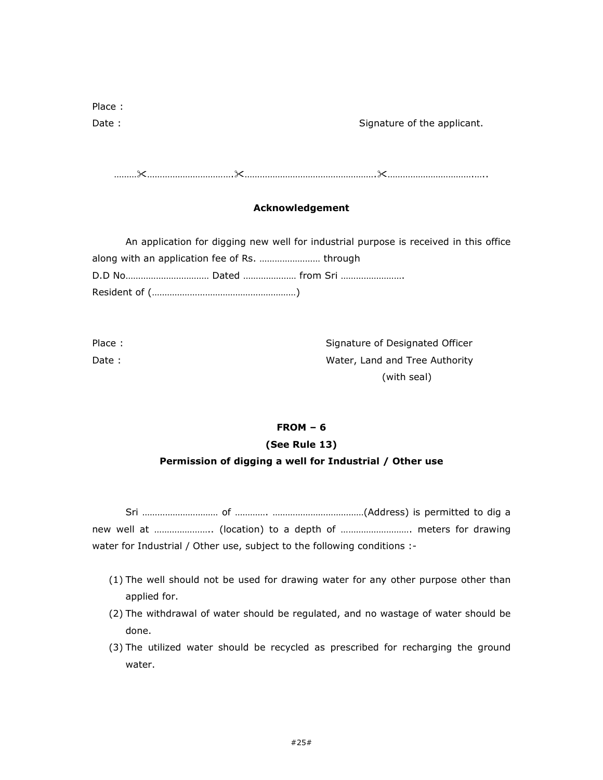| Place: |                             |
|--------|-----------------------------|
| Date:  | Signature of the applicant. |

…………………………………….…………………………………………….…………………………….…..

## Acknowledgement

An application for digging new well for industrial purpose is received in this office along with an application fee of Rs. …………………… through D.D No…………………………… Dated ………………… from Sri ……………………. Resident of (…………………………………………………)

| Place: | Signature of Designated Officer |
|--------|---------------------------------|
| Date : | Water, Land and Tree Authority  |
|        | (with seal)                     |

# FROM – 6 (See Rule 13) Permission of digging a well for Industrial / Other use

 Sri ………………………… of …………. ………………………………(Address) is permitted to dig a new well at ………………….. (location) to a depth of ………………………. meters for drawing water for Industrial / Other use, subject to the following conditions :-

- (1) The well should not be used for drawing water for any other purpose other than applied for.
- (2) The withdrawal of water should be regulated, and no wastage of water should be done.
- (3) The utilized water should be recycled as prescribed for recharging the ground water.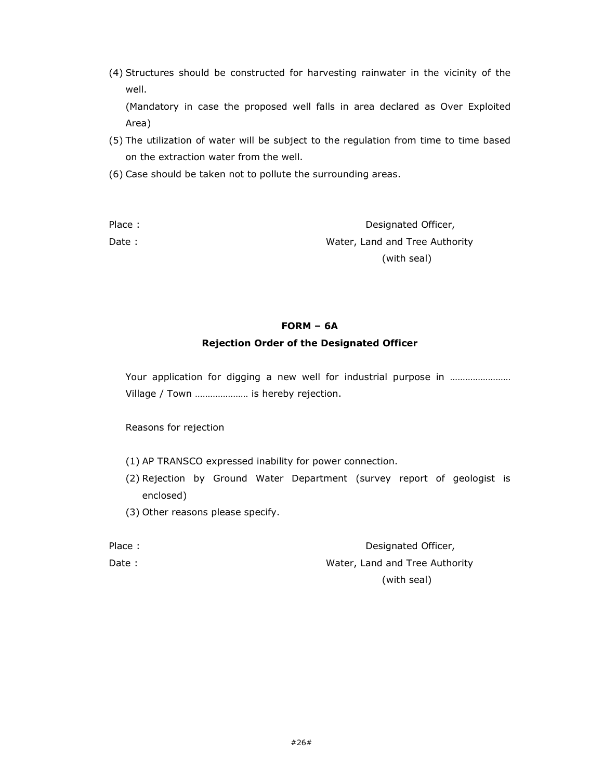(4) Structures should be constructed for harvesting rainwater in the vicinity of the well.

(Mandatory in case the proposed well falls in area declared as Over Exploited Area)

- (5) The utilization of water will be subject to the regulation from time to time based on the extraction water from the well.
- (6) Case should be taken not to pollute the surrounding areas.

Place : **Designated Officer,** Date : Note of the Mater, Land and Tree Authority (with seal)

# FORM – 6A

### Rejection Order of the Designated Officer

Your application for digging a new well for industrial purpose in ……………………… Village / Town ………………… is hereby rejection.

Reasons for rejection

- (1) AP TRANSCO expressed inability for power connection.
- (2) Rejection by Ground Water Department (survey report of geologist is enclosed)
- (3) Other reasons please specify.

| Place : | Designated Officer,            |
|---------|--------------------------------|
| Date :  | Water, Land and Tree Authority |
|         | (with seal)                    |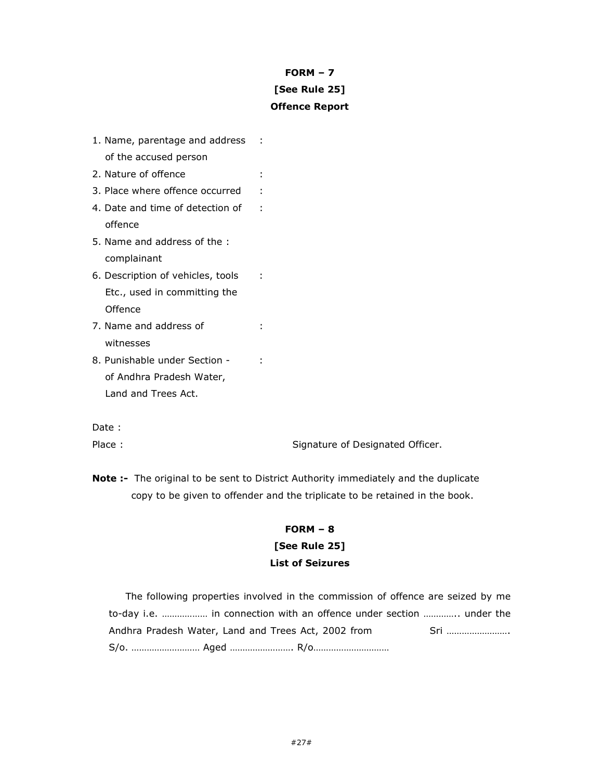# FORM – 7 [See Rule 25] Offence Report

| 1. Name, parentage and address    |  |
|-----------------------------------|--|
| of the accused person             |  |
| 2. Nature of offence              |  |
| 3. Place where offence occurred   |  |
| 4. Date and time of detection of  |  |
| offence                           |  |
| 5. Name and address of the:       |  |
| complainant                       |  |
| 6. Description of vehicles, tools |  |
| Etc., used in committing the      |  |
| Offence                           |  |
| 7. Name and address of            |  |
| witnesses                         |  |
| 8. Punishable under Section -     |  |
| of Andhra Pradesh Water,          |  |
| Land and Trees Act.               |  |
|                                   |  |

Date :

Place : Signature of Designated Officer.

Note :- The original to be sent to District Authority immediately and the duplicate copy to be given to offender and the triplicate to be retained in the book.

# FORM – 8 [See Rule 25]

## List of Seizures

The following properties involved in the commission of offence are seized by me to-day i.e. ……………… in connection with an offence under section ………….. under the Andhra Pradesh Water, Land and Trees Act, 2002 from Sri ……………………. S/o. ……………………… Aged ……………………. R/o…………………………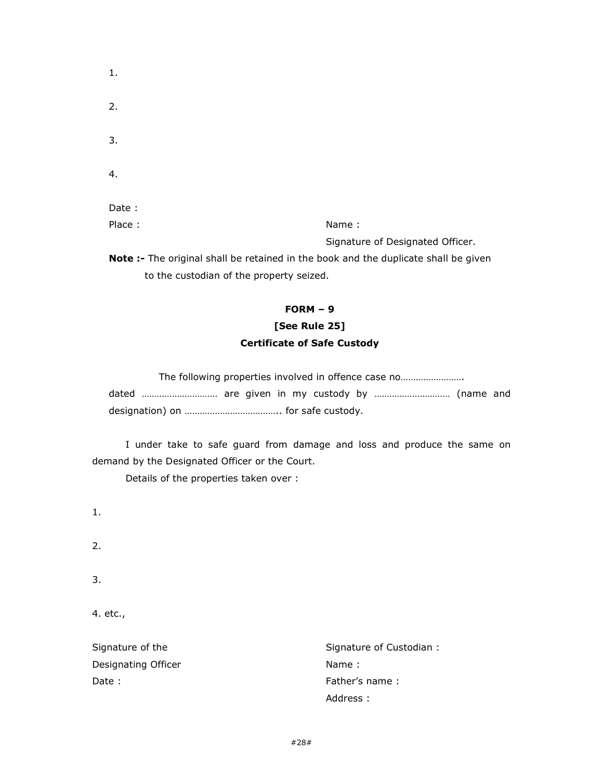| . .    | -- | Signature of Designated Officer. |  |
|--------|----|----------------------------------|--|
| Place: |    | Name:                            |  |
| Date:  |    |                                  |  |
| 4.     |    |                                  |  |
| 3.     |    |                                  |  |
| 2.     |    |                                  |  |
| 1.     |    |                                  |  |

Note :- The original shall be retained in the book and the duplicate shall be given to the custodian of the property seized.

### FORM – 9

# [See Rule 25] Certificate of Safe Custody

|  |  |  |  | The following properties involved in offence case no |  |
|--|--|--|--|------------------------------------------------------|--|
|  |  |  |  | dated  are given in my custody by  (name and         |  |
|  |  |  |  |                                                      |  |

 I under take to safe guard from damage and loss and produce the same on demand by the Designated Officer or the Court.

Details of the properties taken over :

1.

2.

3.

4. etc.,

Signature of the Signature of Custodian : Designating Officer Name : Name : Date :  $\blacksquare$ Address :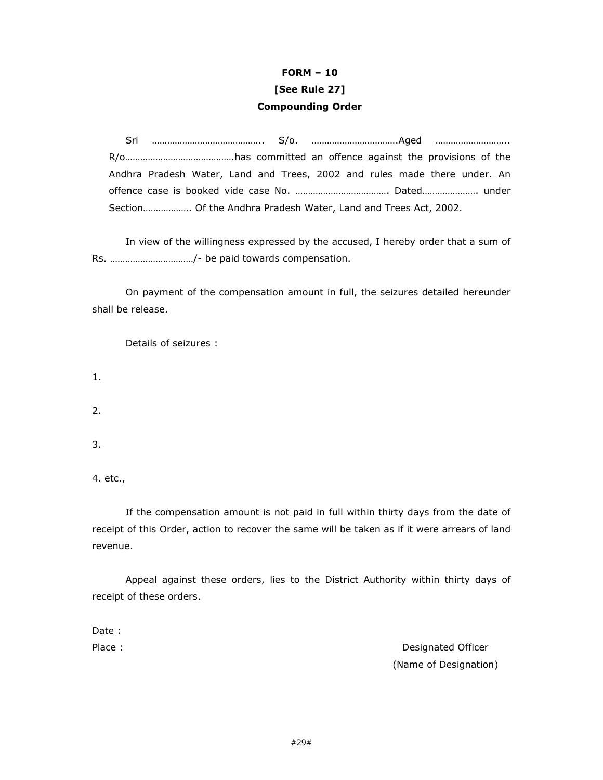# FORM – 10 [See Rule 27] Compounding Order

 Sri …………………………………….. S/o. …………………………….Aged ……………………….. R/o…………………………………….has committed an offence against the provisions of the Andhra Pradesh Water, Land and Trees, 2002 and rules made there under. An offence case is booked vide case No. ………………………………. Dated…………………. under Section………………. Of the Andhra Pradesh Water, Land and Trees Act, 2002.

 In view of the willingness expressed by the accused, I hereby order that a sum of Rs. ……………………………/- be paid towards compensation.

 On payment of the compensation amount in full, the seizures detailed hereunder shall be release.

Details of seizures :

1.

2.

3.

4. etc.,

 If the compensation amount is not paid in full within thirty days from the date of receipt of this Order, action to recover the same will be taken as if it were arrears of land revenue.

 Appeal against these orders, lies to the District Authority within thirty days of receipt of these orders.

Date :

Place : **Designated Officer** (Name of Designation)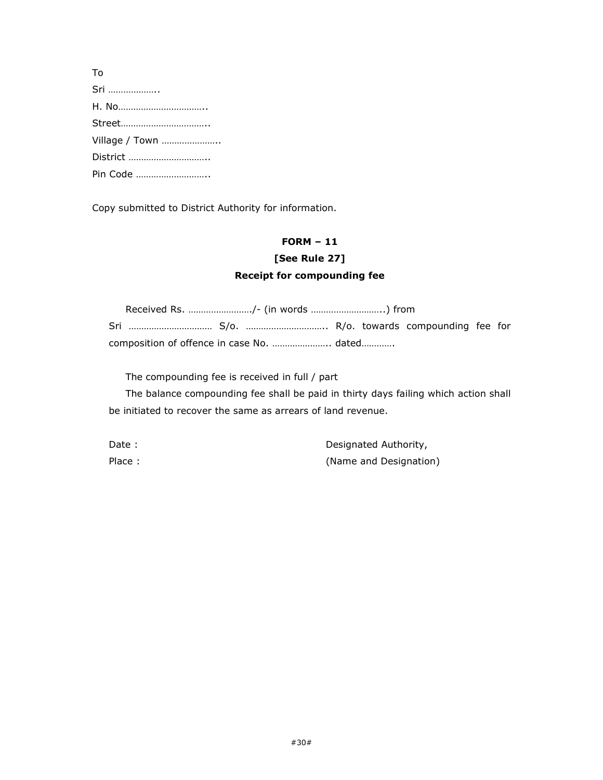| To             |
|----------------|
| Sri            |
|                |
|                |
| Village / Town |
| District       |
| Pin Code       |
|                |

Copy submitted to District Authority for information.

# FORM – 11

# [See Rule 27] Receipt for compounding fee

|  |  | Received Rs. /- (in words ) from |  |  |  |  |  |
|--|--|----------------------------------|--|--|--|--|--|
|  |  |                                  |  |  |  |  |  |
|  |  |                                  |  |  |  |  |  |

The compounding fee is received in full / part

 The balance compounding fee shall be paid in thirty days failing which action shall be initiated to recover the same as arrears of land revenue.

| Date :  | Designated Authority,  |
|---------|------------------------|
| Place : | (Name and Designation) |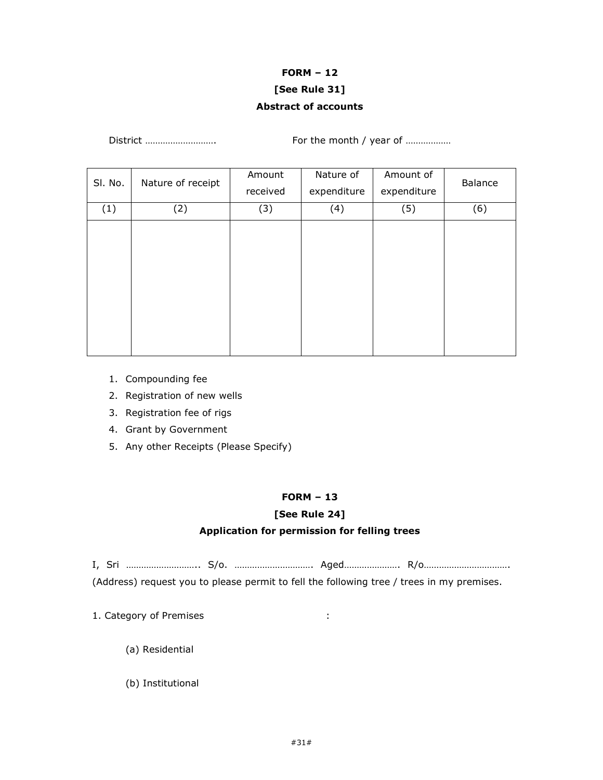# FORM – 12 [See Rule 31] Abstract of accounts

| SI. No. | Nature of receipt | Amount<br>received | Nature of<br>expenditure | Amount of<br>expenditure | Balance |
|---------|-------------------|--------------------|--------------------------|--------------------------|---------|
| (1)     | (2)               | (3)                | (4)                      | (5)                      | (6)     |
|         |                   |                    |                          |                          |         |
|         |                   |                    |                          |                          |         |
|         |                   |                    |                          |                          |         |
|         |                   |                    |                          |                          |         |
|         |                   |                    |                          |                          |         |
|         |                   |                    |                          |                          |         |
|         |                   |                    |                          |                          |         |

District ………………………. For the month / year of ………………

- 1. Compounding fee
- 2. Registration of new wells
- 3. Registration fee of rigs
- 4. Grant by Government
- 5. Any other Receipts (Please Specify)

#### FORM – 13

# [See Rule 24]

# Application for permission for felling trees

I, Sri ……………………….. S/o. …………………………. Aged…………………. R/o……………………………. (Address) request you to please permit to fell the following tree / trees in my premises.

- 1. Category of Premises :
	- (a) Residential
	- (b) Institutional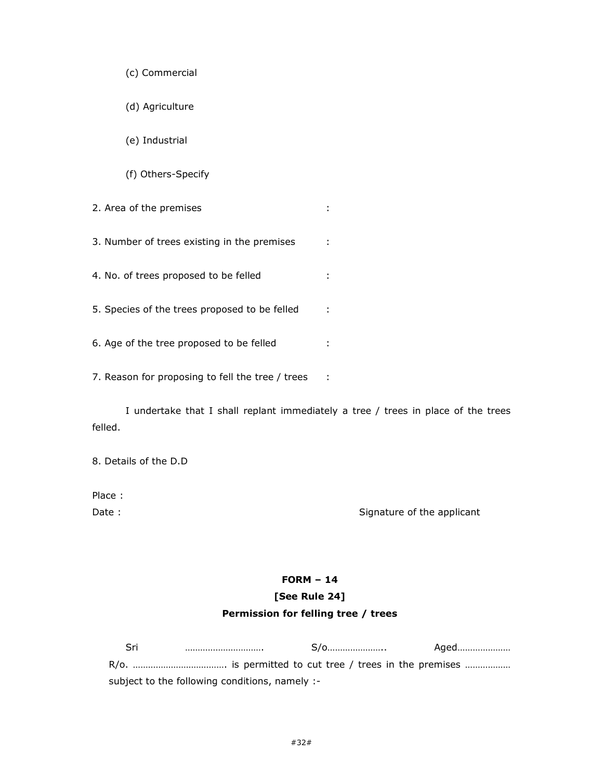(d) Agriculture

(e) Industrial

(f) Others-Specify

2. Area of the premises : the state of the premises in the state of the state of the state of the state of the state of the state of the state of the state of the state of the state of the state of the state of the state o

3. Number of trees existing in the premises :

4. No. of trees proposed to be felled :

5. Species of the trees proposed to be felled :

6. Age of the tree proposed to be felled :

7. Reason for proposing to fell the tree / trees :

 I undertake that I shall replant immediately a tree / trees in place of the trees felled.

8. Details of the D.D

Place :

Date : Signature of the applicant

# FORM – 14 [See Rule 24]

# Permission for felling tree / trees

| Sri                                            |  | S/0 |  | Aged |
|------------------------------------------------|--|-----|--|------|
|                                                |  |     |  |      |
| subject to the following conditions, namely :- |  |     |  |      |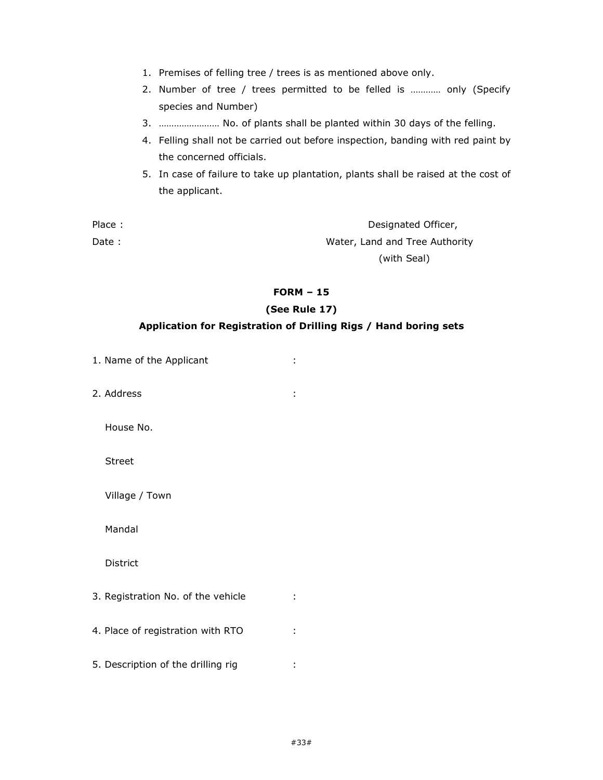- 1. Premises of felling tree / trees is as mentioned above only.
- 2. Number of tree / trees permitted to be felled is ………… only (Specify species and Number)
- 3. …………………… No. of plants shall be planted within 30 days of the felling.
- 4. Felling shall not be carried out before inspection, banding with red paint by the concerned officials.
- 5. In case of failure to take up plantation, plants shall be raised at the cost of the applicant.

| Place : | Designated Officer,            |
|---------|--------------------------------|
| Date :  | Water, Land and Tree Authority |
|         | (with Seal)                    |

### FORM – 15

## (See Rule 17)

## Application for Registration of Drilling Rigs / Hand boring sets

- 1. Name of the Applicant :
- 2. Address :

House No.

Street

Village / Town

Mandal

District

3. Registration No. of the vehicle : 4. Place of registration with RTO : 5. Description of the drilling rig :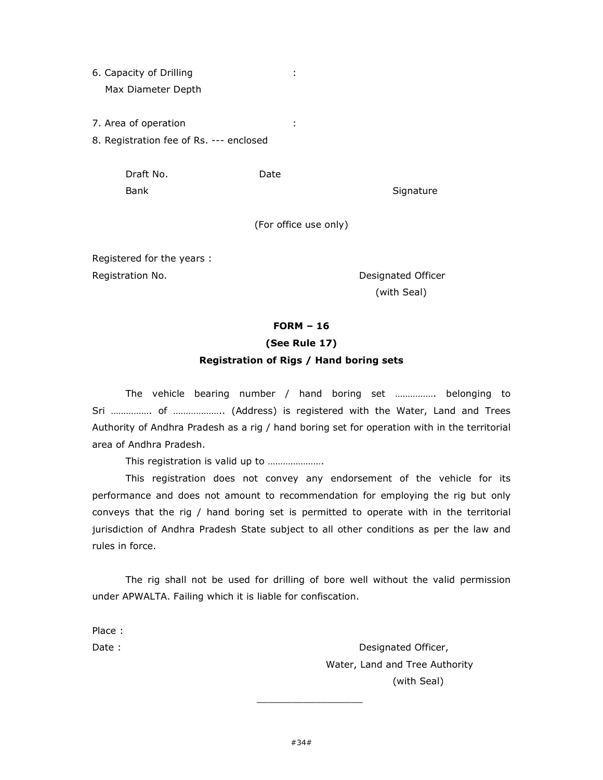- 6. Capacity of Drilling : Max Diameter Depth
- 7. Area of operation :
- 8. Registration fee of Rs. --- enclosed

 Draft No. Date Bank Signature Signature

(For office use only)

Registered for the years : Registration No. **Exercise 2 and Series 2 and Series 2 and Series 2 and Series 2 and Series 2 and Series 2 and S** 

(with Seal)

### FORM – 16

# (See Rule 17)

### Registration of Rigs / Hand boring sets

The vehicle bearing number / hand boring set ……………. belonging to Sri ……………. of ……………….. (Address) is registered with the Water, Land and Trees Authority of Andhra Pradesh as a rig / hand boring set for operation with in the territorial area of Andhra Pradesh.

This registration is valid up to ………………….

 This registration does not convey any endorsement of the vehicle for its performance and does not amount to recommendation for employing the rig but only conveys that the rig / hand boring set is permitted to operate with in the territorial jurisdiction of Andhra Pradesh State subject to all other conditions as per the law and rules in force.

 The rig shall not be used for drilling of bore well without the valid permission under APWALTA. Failing which it is liable for confiscation.

Place :

Date : **Date : Designated Officer,**  Water, Land and Tree Authority (with Seal)

 $\_$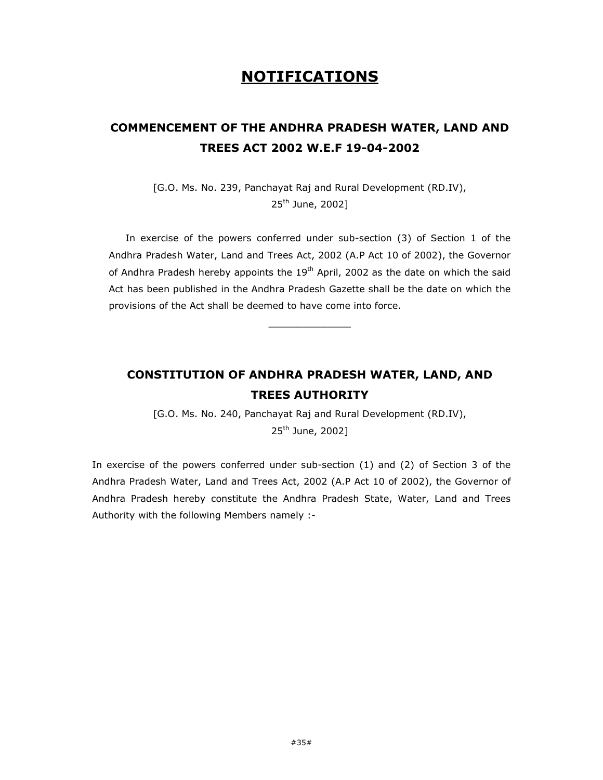# NOTIFICATIONS

# COMMENCEMENT OF THE ANDHRA PRADESH WATER, LAND AND TREES ACT 2002 W.E.F 19-04-2002

[G.O. Ms. No. 239, Panchayat Raj and Rural Development (RD.IV), 25<sup>th</sup> June, 2002]

 In exercise of the powers conferred under sub-section (3) of Section 1 of the Andhra Pradesh Water, Land and Trees Act, 2002 (A.P Act 10 of 2002), the Governor of Andhra Pradesh hereby appoints the  $19<sup>th</sup>$  April, 2002 as the date on which the said Act has been published in the Andhra Pradesh Gazette shall be the date on which the provisions of the Act shall be deemed to have come into force.

 $\_$ 

# CONSTITUTION OF ANDHRA PRADESH WATER, LAND, AND TREES AUTHORITY

[G.O. Ms. No. 240, Panchayat Raj and Rural Development (RD.IV), 25<sup>th</sup> June, 2002]

In exercise of the powers conferred under sub-section (1) and (2) of Section 3 of the Andhra Pradesh Water, Land and Trees Act, 2002 (A.P Act 10 of 2002), the Governor of Andhra Pradesh hereby constitute the Andhra Pradesh State, Water, Land and Trees Authority with the following Members namely :-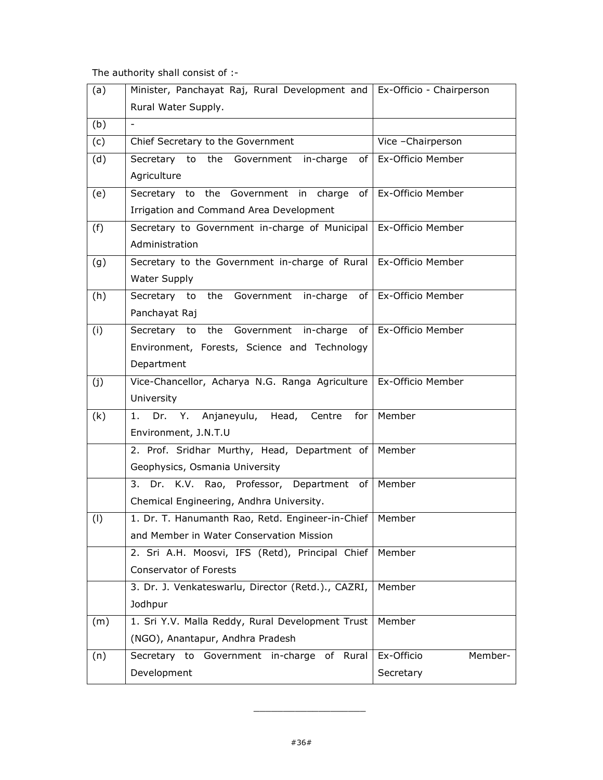The authority shall consist of :-

| (a) | Minister, Panchayat Raj, Rural Development and   Ex-Officio - Chairperson |                        |
|-----|---------------------------------------------------------------------------|------------------------|
|     | Rural Water Supply.                                                       |                        |
| (b) |                                                                           |                        |
| (c) | Chief Secretary to the Government                                         | Vice - Chairperson     |
| (d) | to the<br>Secretary<br>in-charge<br>of I<br>Government                    | Ex-Officio Member      |
|     | Agriculture                                                               |                        |
| (e) | Secretary to the Government in charge of                                  | Ex-Officio Member      |
|     | Irrigation and Command Area Development                                   |                        |
| (f) | Secretary to Government in-charge of Municipal   Ex-Officio Member        |                        |
|     | Administration                                                            |                        |
| (g) | Secretary to the Government in-charge of Rural   Ex-Officio Member        |                        |
|     | Water Supply                                                              |                        |
| (h) | Secretary to the Government in-charge                                     | of   Ex-Officio Member |
|     | Panchayat Raj                                                             |                        |
| (i) | in-charge<br>to the<br>Government<br>Secretary<br>of I                    | Ex-Officio Member      |
|     | Environment, Forests, Science and Technology                              |                        |
|     | Department                                                                |                        |
| (j) | Vice-Chancellor, Acharya N.G. Ranga Agriculture   Ex-Officio Member       |                        |
|     | University                                                                |                        |
| (k) | Dr. Y. Anjaneyulu, Head, Centre<br>1.<br>for $ $                          | Member                 |
|     | Environment, J.N.T.U                                                      |                        |
|     | 2. Prof. Sridhar Murthy, Head, Department of                              | Member                 |
|     | Geophysics, Osmania University                                            |                        |
|     | Dr. K.V. Rao, Professor, Department of<br>3.                              | Member                 |
|     | Chemical Engineering, Andhra University.                                  |                        |
| (1) | 1. Dr. T. Hanumanth Rao, Retd. Engineer-in-Chief   Member                 |                        |
|     | and Member in Water Conservation Mission                                  |                        |
|     | 2. Sri A.H. Moosvi, IFS (Retd), Principal Chief                           | Member                 |
|     | Conservator of Forests                                                    |                        |
|     | 3. Dr. J. Venkateswarlu, Director (Retd.)., CAZRI,                        | Member                 |
|     | Jodhpur                                                                   |                        |
| (m) | 1. Sri Y.V. Malla Reddy, Rural Development Trust                          | Member                 |
|     | (NGO), Anantapur, Andhra Pradesh                                          |                        |
| (n) | Secretary to Government in-charge<br>of<br>Rural                          | Ex-Officio<br>Member-  |
|     | Development                                                               | Secretary              |

 $\_$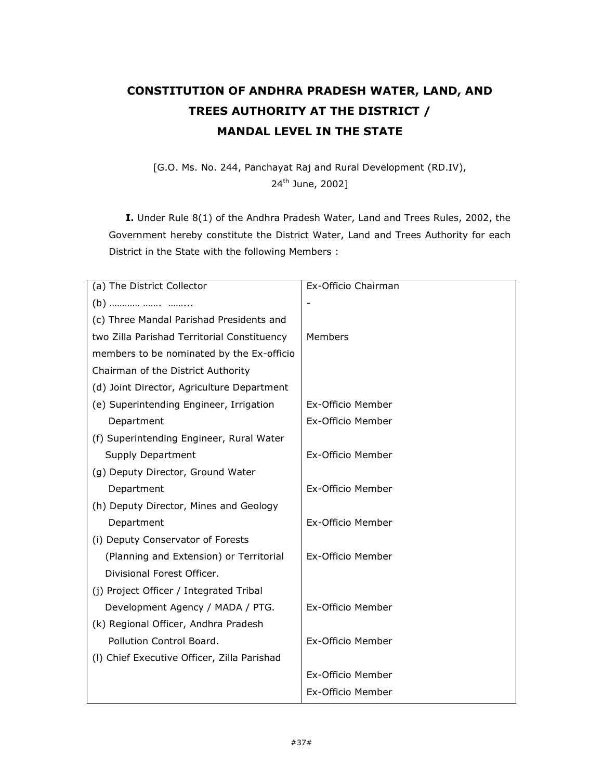# CONSTITUTION OF ANDHRA PRADESH WATER, LAND, AND TREES AUTHORITY AT THE DISTRICT / MANDAL LEVEL IN THE STATE

[G.O. Ms. No. 244, Panchayat Raj and Rural Development (RD.IV), 24<sup>th</sup> June, 2002]

I. Under Rule 8(1) of the Andhra Pradesh Water, Land and Trees Rules, 2002, the Government hereby constitute the District Water, Land and Trees Authority for each District in the State with the following Members :

| (a) The District Collector                  | Ex-Officio Chairman |
|---------------------------------------------|---------------------|
|                                             |                     |
| (c) Three Mandal Parishad Presidents and    |                     |
| two Zilla Parishad Territorial Constituency | Members             |
| members to be nominated by the Ex-officio   |                     |
| Chairman of the District Authority          |                     |
| (d) Joint Director, Agriculture Department  |                     |
| (e) Superintending Engineer, Irrigation     | Ex-Officio Member   |
| Department                                  | Ex-Officio Member   |
| (f) Superintending Engineer, Rural Water    |                     |
| Supply Department                           | Ex-Officio Member   |
| (g) Deputy Director, Ground Water           |                     |
| Department                                  | Ex-Officio Member   |
| (h) Deputy Director, Mines and Geology      |                     |
| Department                                  | Ex-Officio Member   |
| (i) Deputy Conservator of Forests           |                     |
| (Planning and Extension) or Territorial     | Ex-Officio Member   |
| Divisional Forest Officer.                  |                     |
| (j) Project Officer / Integrated Tribal     |                     |
| Development Agency / MADA / PTG.            | Ex-Officio Member   |
| (k) Regional Officer, Andhra Pradesh        |                     |
| Pollution Control Board.                    | Ex-Officio Member   |
| (I) Chief Executive Officer, Zilla Parishad |                     |
|                                             | Ex-Officio Member   |
|                                             | Ex-Officio Member   |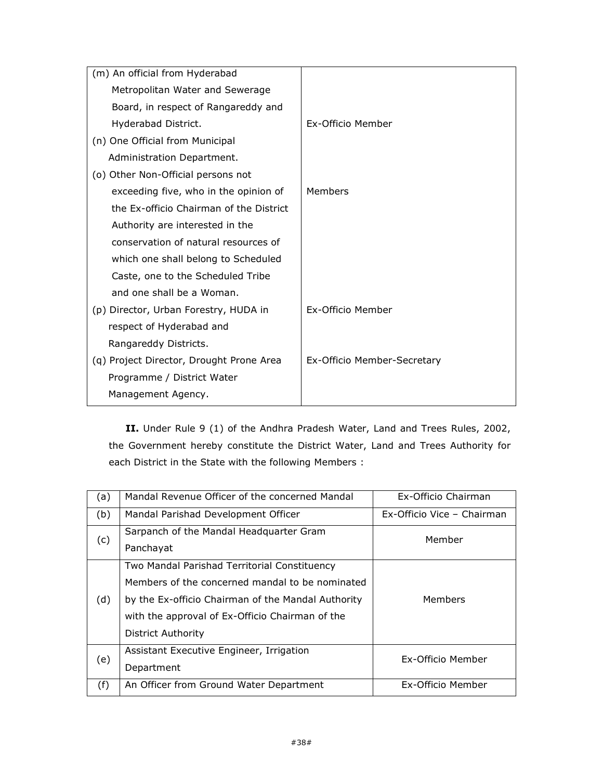| (m) An official from Hyderabad           |                             |
|------------------------------------------|-----------------------------|
| Metropolitan Water and Sewerage          |                             |
| Board, in respect of Rangareddy and      |                             |
| Hyderabad District.                      | Ex-Officio Member           |
| (n) One Official from Municipal          |                             |
| Administration Department.               |                             |
| (o) Other Non-Official persons not       |                             |
| exceeding five, who in the opinion of    | Members                     |
| the Ex-officio Chairman of the District  |                             |
| Authority are interested in the          |                             |
| conservation of natural resources of     |                             |
| which one shall belong to Scheduled      |                             |
| Caste, one to the Scheduled Tribe        |                             |
| and one shall be a Woman.                |                             |
| (p) Director, Urban Forestry, HUDA in    | Ex-Officio Member           |
| respect of Hyderabad and                 |                             |
| Rangareddy Districts.                    |                             |
| (q) Project Director, Drought Prone Area | Ex-Officio Member-Secretary |
| Programme / District Water               |                             |
| Management Agency.                       |                             |
|                                          |                             |

II. Under Rule 9 (1) of the Andhra Pradesh Water, Land and Trees Rules, 2002, the Government hereby constitute the District Water, Land and Trees Authority for each District in the State with the following Members :

| (a) | Mandal Revenue Officer of the concerned Mandal       | Ex-Officio Chairman        |
|-----|------------------------------------------------------|----------------------------|
| (b) | Mandal Parishad Development Officer                  | Ex-Officio Vice - Chairman |
| (c) | Sarpanch of the Mandal Headquarter Gram<br>Panchayat | Member                     |
|     |                                                      |                            |
|     | Two Mandal Parishad Territorial Constituency         |                            |
|     | Members of the concerned mandal to be nominated      |                            |
| (d) | by the Ex-officio Chairman of the Mandal Authority   | Members                    |
|     | with the approval of Ex-Officio Chairman of the      |                            |
|     | District Authority                                   |                            |
|     | Assistant Executive Engineer, Irrigation             |                            |
| (e) | Department                                           | Ex-Officio Member          |
| (f) | An Officer from Ground Water Department              | Ex-Officio Member          |